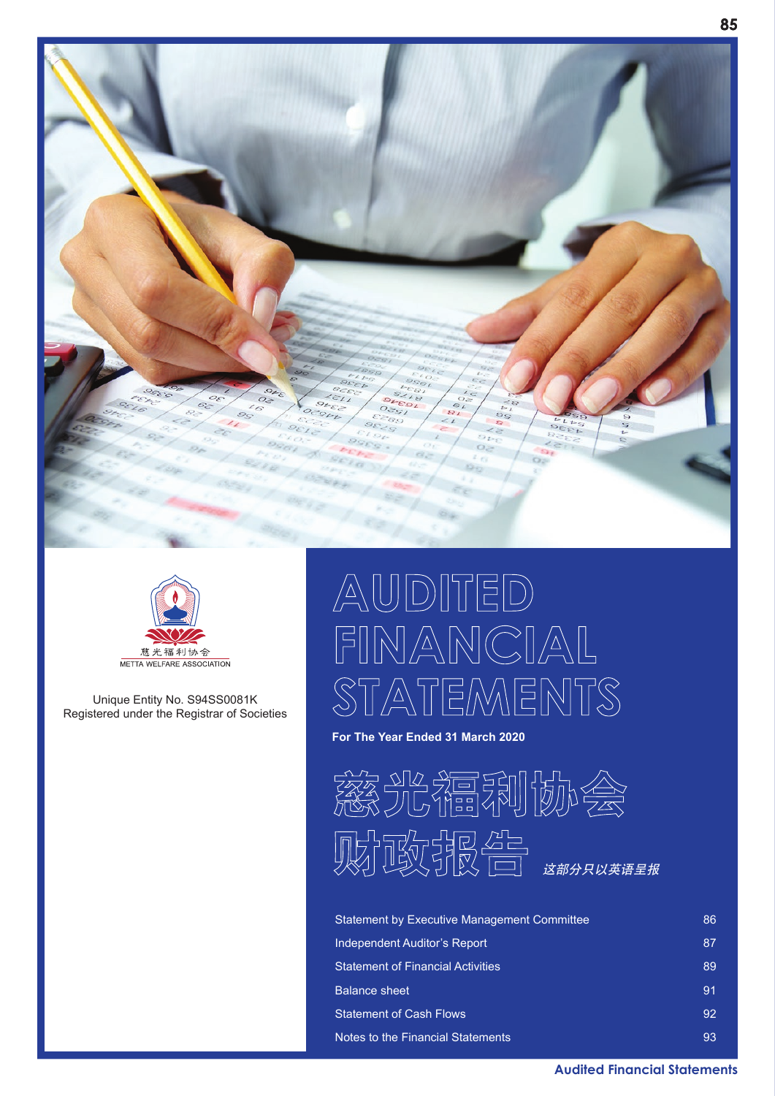



Unique Entity No. S94SS0081K Registered under the Registrar of Societies

# **AUDITED FINANCIAL STATEMENTS**

**For The Year Ended 31 March 2020** 



| <b>Statement by Executive Management Committee</b> | 86 |
|----------------------------------------------------|----|
| Independent Auditor's Report                       | 87 |
| <b>Statement of Financial Activities</b>           | 89 |
| <b>Balance sheet</b>                               | 91 |
| <b>Statement of Cash Flows</b>                     | 92 |
| Notes to the Financial Statements                  | 93 |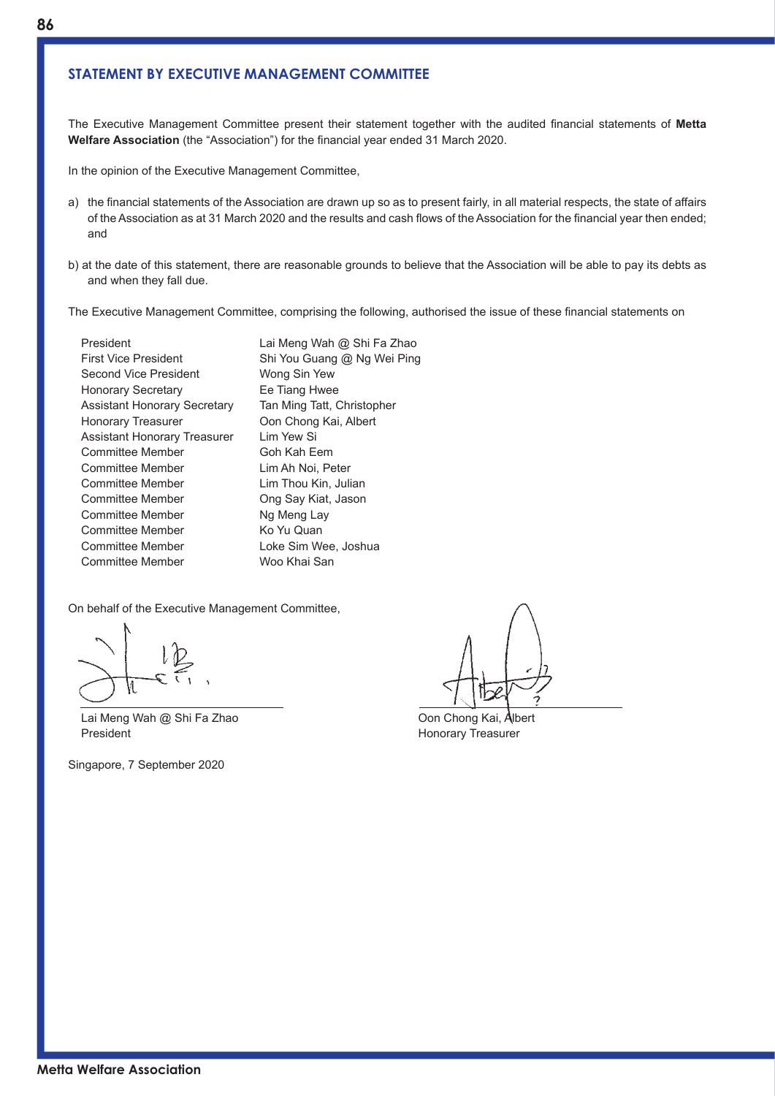# **STATEMENT BY EXECUTIVE MANAGEMENT COMMITTEE**

The Executive Management Committee present their statement together with the audited financial statements of **Metta Welfare Association** (the "Association") for the financial year ended 31 March 2020.

In the opinion of the Executive Management Committee,

- a) the financial statements of the Association are drawn up so as to present fairly, in all material respects, the state of affairs of the Association as at 31 March 2020 and the results and cash flows of the Association for the financial year then ended; and
- b) at the date of this statement, there are reasonable grounds to believe that the Association will be able to pay its debts as and when they fall due.
- The Executive Management Committee, comprising the following, authorised the issue of these financial statements on
	- President Lai Meng Wah @ Shi Fa Zhao First Vice President Shi You Guang @ Ng Wei Ping Second Vice President Wong Sin Yew Honorary Secretary **Ee Tiang Hwee** Assistant Honorary Secretary Tan Ming Tatt, Christopher Honorary Treasurer **Con Chong Kai, Albert** Assistant Honorary Treasurer Lim Yew Si Committee Member Goh Kah Eem Committee Member Lim Ah Noi, Peter Committee Member Lim Thou Kin, Julian Committee Member **Ong Say Kiat, Jason** Committee Member Ng Meng Lay Committee Member Ko Yu Quan Committee Member Loke Sim Wee, Joshua Committee Member Woo Khai San

On behalf of the Executive Management Committee,

Lai Meng Wah @ Shi Fa Zhao **Oon Chong Kai, Albert** President **Honorary Treasurer** Honorary Treasurer

Singapore, 7 September 2020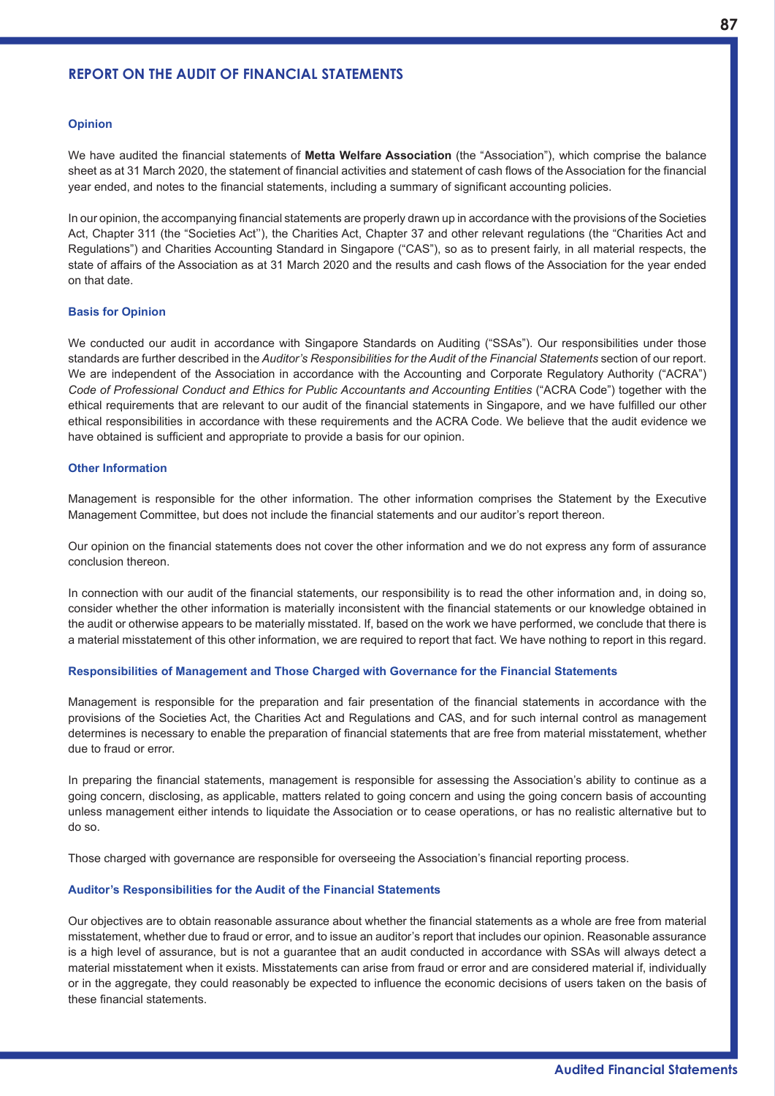# **REPORT ON THE AUDIT OF FINANCIAL STATEMENTS**

### **Opinion**

We have audited the financial statements of **Metta Welfare Association** (the "Association"), which comprise the balance sheet as at 31 March 2020, the statement of financial activities and statement of cash flows of the Association for the financial year ended, and notes to the financial statements, including a summary of significant accounting policies.

In our opinion, the accompanying financial statements are properly drawn up in accordance with the provisions of the Societies Act, Chapter 311 (the "Societies Act''), the Charities Act, Chapter 37 and other relevant regulations (the "Charities Act and Regulations") and Charities Accounting Standard in Singapore ("CAS"), so as to present fairly, in all material respects, the state of affairs of the Association as at 31 March 2020 and the results and cash flows of the Association for the year ended on that date.

# **Basis for Opinion**

We conducted our audit in accordance with Singapore Standards on Auditing ("SSAs"). Our responsibilities under those standards are further described in the *Auditor's Responsibilities for the Audit of the Financial Statements* section of our report. We are independent of the Association in accordance with the Accounting and Corporate Regulatory Authority ("ACRA") *Code of Professional Conduct and Ethics for Public Accountants and Accounting Entities* ("ACRA Code") together with the ethical requirements that are relevant to our audit of the financial statements in Singapore, and we have fulfilled our other ethical responsibilities in accordance with these requirements and the ACRA Code. We believe that the audit evidence we have obtained is sufficient and appropriate to provide a basis for our opinion.

# **Other Information**

Management is responsible for the other information. The other information comprises the Statement by the Executive Management Committee, but does not include the financial statements and our auditor's report thereon.

Our opinion on the financial statements does not cover the other information and we do not express any form of assurance conclusion thereon.

In connection with our audit of the financial statements, our responsibility is to read the other information and, in doing so, consider whether the other information is materially inconsistent with the financial statements or our knowledge obtained in the audit or otherwise appears to be materially misstated. If, based on the work we have performed, we conclude that there is a material misstatement of this other information, we are required to report that fact. We have nothing to report in this regard.

### **Responsibilities of Management and Those Charged with Governance for the Financial Statements**

Management is responsible for the preparation and fair presentation of the financial statements in accordance with the provisions of the Societies Act, the Charities Act and Regulations and CAS, and for such internal control as management determines is necessary to enable the preparation of financial statements that are free from material misstatement, whether due to fraud or error.

In preparing the financial statements, management is responsible for assessing the Association's ability to continue as a going concern, disclosing, as applicable, matters related to going concern and using the going concern basis of accounting unless management either intends to liquidate the Association or to cease operations, or has no realistic alternative but to do so.

Those charged with governance are responsible for overseeing the Association's financial reporting process.

# **Auditor's Responsibilities for the Audit of the Financial Statements**

Our objectives are to obtain reasonable assurance about whether the financial statements as a whole are free from material misstatement, whether due to fraud or error, and to issue an auditor's report that includes our opinion. Reasonable assurance is a high level of assurance, but is not a guarantee that an audit conducted in accordance with SSAs will always detect a material misstatement when it exists. Misstatements can arise from fraud or error and are considered material if, individually or in the aggregate, they could reasonably be expected to influence the economic decisions of users taken on the basis of these financial statements.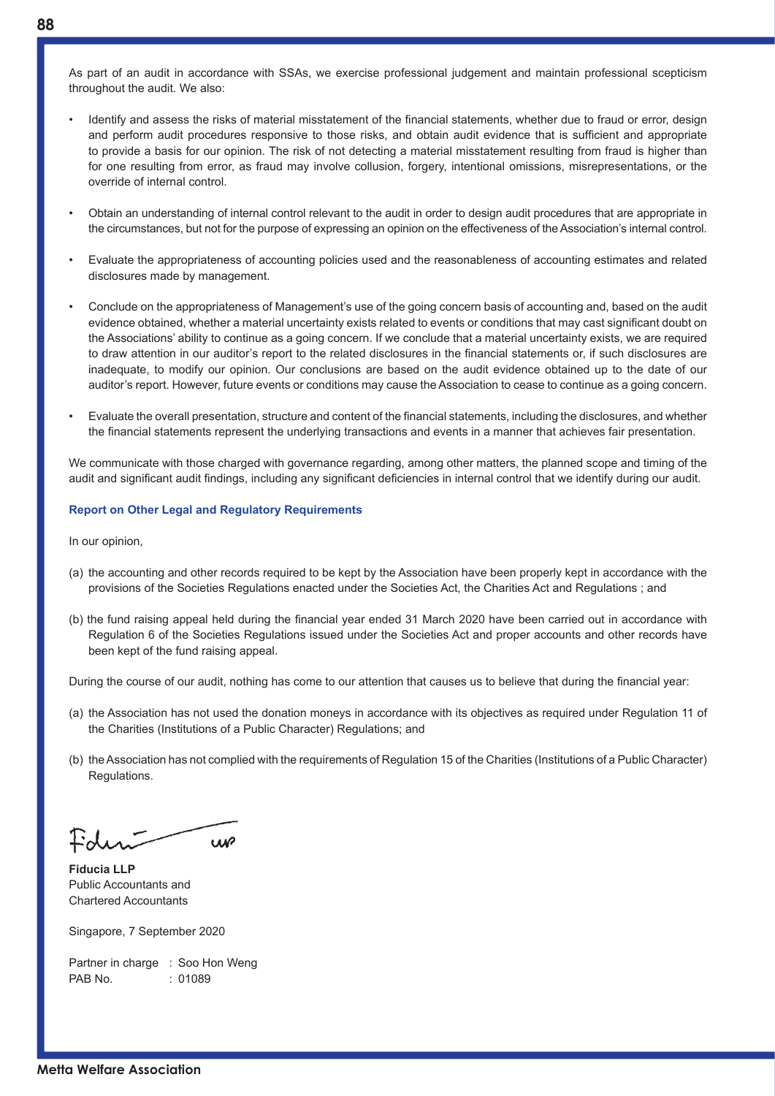As part of an audit in accordance with SSAs, we exercise professional judgement and maintain professional scepticism throughout the audit. We also:

- Identify and assess the risks of material misstatement of the financial statements, whether due to fraud or error, design and perform audit procedures responsive to those risks, and obtain audit evidence that is sufficient and appropriate to provide a basis for our opinion. The risk of not detecting a material misstatement resulting from fraud is higher than for one resulting from error, as fraud may involve collusion, forgery, intentional omissions, misrepresentations, or the override of internal control.
- Obtain an understanding of internal control relevant to the audit in order to design audit procedures that are appropriate in the circumstances, but not for the purpose of expressing an opinion on the effectiveness of the Association's internal control.
- Evaluate the appropriateness of accounting policies used and the reasonableness of accounting estimates and related disclosures made by management.
- Conclude on the appropriateness of Management's use of the going concern basis of accounting and, based on the audit evidence obtained, whether a material uncertainty exists related to events or conditions that may cast significant doubt on the Associations' ability to continue as a going concern. If we conclude that a material uncertainty exists, we are required to draw attention in our auditor's report to the related disclosures in the financial statements or, if such disclosures are inadequate, to modify our opinion. Our conclusions are based on the audit evidence obtained up to the date of our auditor's report. However, future events or conditions may cause the Association to cease to continue as a going concern.
- Evaluate the overall presentation, structure and content of the financial statements, including the disclosures, and whether the financial statements represent the underlying transactions and events in a manner that achieves fair presentation.

We communicate with those charged with governance regarding, among other matters, the planned scope and timing of the audit and significant audit findings, including any significant deficiencies in internal control that we identify during our audit.

# **Report on Other Legal and Regulatory Requirements**

In our opinion,

- (a) the accounting and other records required to be kept by the Association have been properly kept in accordance with the provisions of the Societies Regulations enacted under the Societies Act, the Charities Act and Regulations ; and
- (b) the fund raising appeal held during the financial year ended 31 March 2020 have been carried out in accordance with Regulation 6 of the Societies Regulations issued under the Societies Act and proper accounts and other records have been kept of the fund raising appeal.

During the course of our audit, nothing has come to our attention that causes us to believe that during the financial year:

- (a) the Association has not used the donation moneys in accordance with its objectives as required under Regulation 11 of the Charities (Institutions of a Public Character) Regulations; and
- (b) the Association has not complied with the requirements of Regulation 15 of the Charities (Institutions of a Public Character) Regulations.

Fdir **UNP** 

**Fiducia LLP** Public Accountants and Chartered Accountants

Singapore, 7 September 2020

Partner in charge : Soo Hon Weng PAB No. : 01089

**88**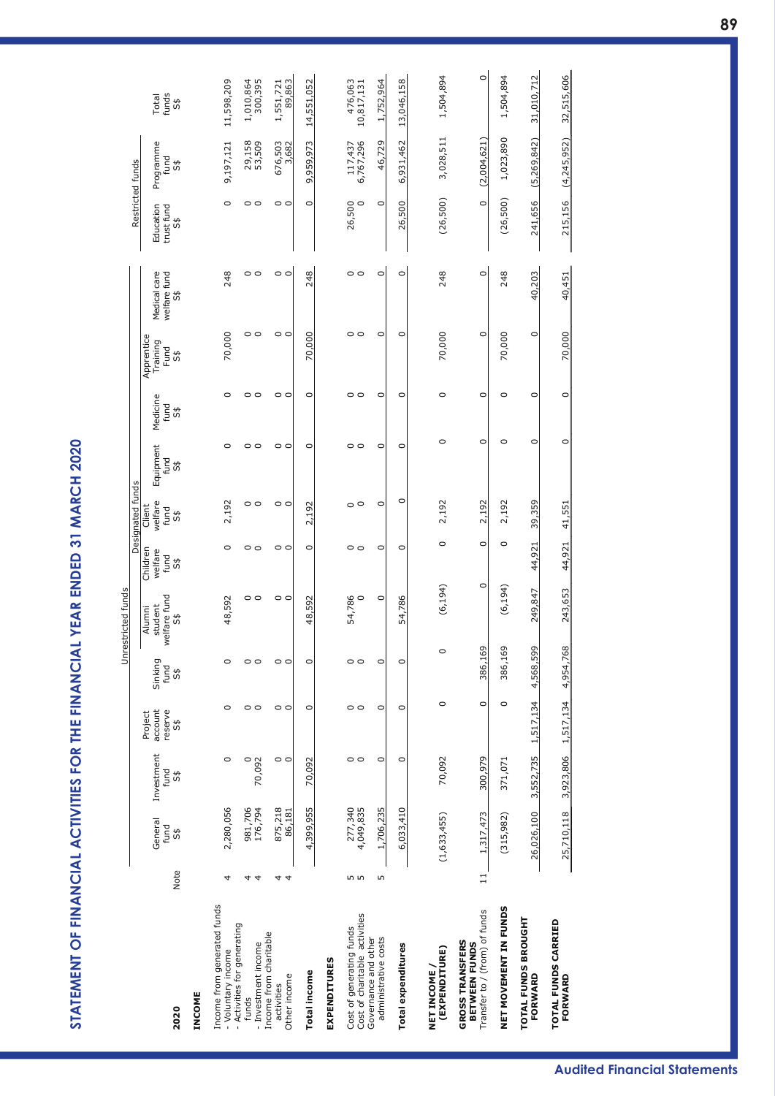STATEMENT OF FINANCIAL ACTIVITIES FOR THE FINANCIAL YEAR ENDED 31 MARCH 2020 **STATEMENT OF FINANCIAL ACTIVITIES FOR THE FINANCIAL YEAR ENDED 31 MARCH 2020**

|                                                                                       |                |                        |                           |                                      | Š                      | estricted funds                          |                                    | Designated funds                 |                          |                         |                                      |                                     | Restricted funds               |                          |                       |
|---------------------------------------------------------------------------------------|----------------|------------------------|---------------------------|--------------------------------------|------------------------|------------------------------------------|------------------------------------|----------------------------------|--------------------------|-------------------------|--------------------------------------|-------------------------------------|--------------------------------|--------------------------|-----------------------|
| 2020                                                                                  | Note           | General<br>fund<br>S\$ | Investment<br>fund<br>S\$ | account<br>reserve<br>Project<br>S\$ | Sinking<br>fund<br>S\$ | welfare fund<br>student<br>Alumni<br>S\$ | Children<br>welfare<br>fund<br>S\$ | welfare<br>Client<br>fund<br>S\$ | Equipment<br>fund<br>S\$ | Medicine<br>fund<br>S\$ | Apprentice<br>Training<br>Fund<br>55 | Medical care<br>welfare fund<br>S\$ | Education<br>trust fund<br>S\$ | Programme<br>fund<br>S\$ | Total<br>funds<br>S\$ |
| INCOME                                                                                |                |                        |                           |                                      |                        |                                          |                                    |                                  |                          |                         |                                      |                                     |                                |                          |                       |
| Income from generated funds<br>- Voluntary income                                     | 4              | 2,280,056              | $\circ$                   | $\circ$                              | $\circ$                | 48,592                                   | $\circ$                            | 2,192                            | $\circ$                  | $\circ$                 | 70,000                               | 248                                 | $\circ$                        | 9,197,121                | 11,598,209            |
| - Activities for generating<br>Income from charitable<br>- Investment income<br>funds | 4<br>4         | 981,706<br>176,794     | 0<br>70,092               | 00                                   | $\circ$                | 00                                       | $\circ$                            | 00                               | 00                       | 0<br>$\circ$            | 00                                   | 00                                  | 00                             | 29,158<br>53,509         | 1,010,864<br>300,395  |
| Other income<br>activities                                                            | 4<br>4         | 875,218<br>86,181      | $\circ$                   | $\circ$                              | $\circ$                | 00                                       | $\circ$                            | 00                               | 00                       | 00                      | 00                                   | 00                                  | $\circ$                        | 676,503<br>3,682         | 1,551,721<br>89,863   |
| Total income                                                                          |                | 4,399,955              | 70,092                    | $\circ$                              | $\circ$                | 48,592                                   | $\circ$                            | 2,192                            | $\circ$                  | o                       | 70,000                               | 248                                 | $\circ$                        | 9,959,973                | 14,551,052            |
| <b>EXPENDITURES</b>                                                                   |                |                        |                           |                                      |                        |                                          |                                    |                                  |                          |                         |                                      |                                     |                                |                          |                       |
| Cost of charitable activities<br>Cost of generating funds<br>Governance and other     | 5<br>5<br>5    | 277,340<br>4,049,835   | 00                        | 00                                   | $\circ$                | 54,786<br>$\circ$                        | $\circ$                            | $\circ$                          | $\circ$                  | $\circ$                 | 00                                   | 00                                  | 26,500<br>$\circ$              | 117,437<br>6,767,296     | 476,063<br>10,817,131 |
| administrative costs                                                                  | LŊ             | 1,706,235              | $\circ$                   | $\circ$                              | $\circ$                | 0                                        | $\circ$                            | 0                                | $\circ$                  | 0                       | $\circ$                              | 0                                   | $\circ$                        | 46,729                   | 1,752,964             |
| <b>Total expenditures</b>                                                             |                | 6,033,410              | $\circ$                   | $\circ$                              | $\circ$                | 54,786                                   | $\circ$                            | $\circ$                          | $\circ$                  | 0                       | o                                    | $\circ$                             | 500<br>26,                     | 931,462<br>ة             | 13,046,158            |
| (EXPENDITURE)<br>NET INCOME                                                           |                | (1,633,455)            | 70,092                    | $\circ$                              |                        | (6, 194)                                 | $\circ$                            | 2,192                            | 0                        | 0                       | 70,000                               | 248                                 | (26, 500)                      | 3,028,511                | 1,504,894             |
| Transfer to / (from) of funds<br><b>GROSS TRANSFERS</b><br>BETWEEN FUNDS              | $\overline{1}$ | 1,317,473              | 300,979                   | $\circ$                              | 386,169                | c                                        | $\circ$                            | 2,192                            | c                        | c                       | C                                    | 0                                   | $\circ$                        | (2,004,621)              | $\circ$               |
| NET MOVEMENT IN FUNDS                                                                 |                | (315, 982)             | 371,071                   | $\circ$                              | 386,169                | (6, 194)                                 | $\circ$                            | 2,192                            | 0                        | 0                       | 70,000                               | 248                                 | (26, 500)                      | 1,023,890                | 1,504,894             |
| <b>TOTAL FUNDS BROUGHT</b><br>FORWARD                                                 |                | 26,026,100             | 3,552,735                 | 1,517,134                            | 4,568,599              | 249,847                                  | 44,921                             | 39,359                           | 0                        | $\circ$                 | $\circ$                              | 40,203                              | 241,656                        | (5, 269, 842)            | 31,010,712            |
| TOTAL FUNDS CARRIED<br>FORWARD                                                        |                | 25,710,118             | 3,923,806 1,517,134       |                                      | 4,954,768              | 243,653                                  | 44,921                             | 41,551                           | 0                        | 0                       | 70,000                               | 40,451                              | 215,156                        | (4, 245, 952)            | 32,515,606            |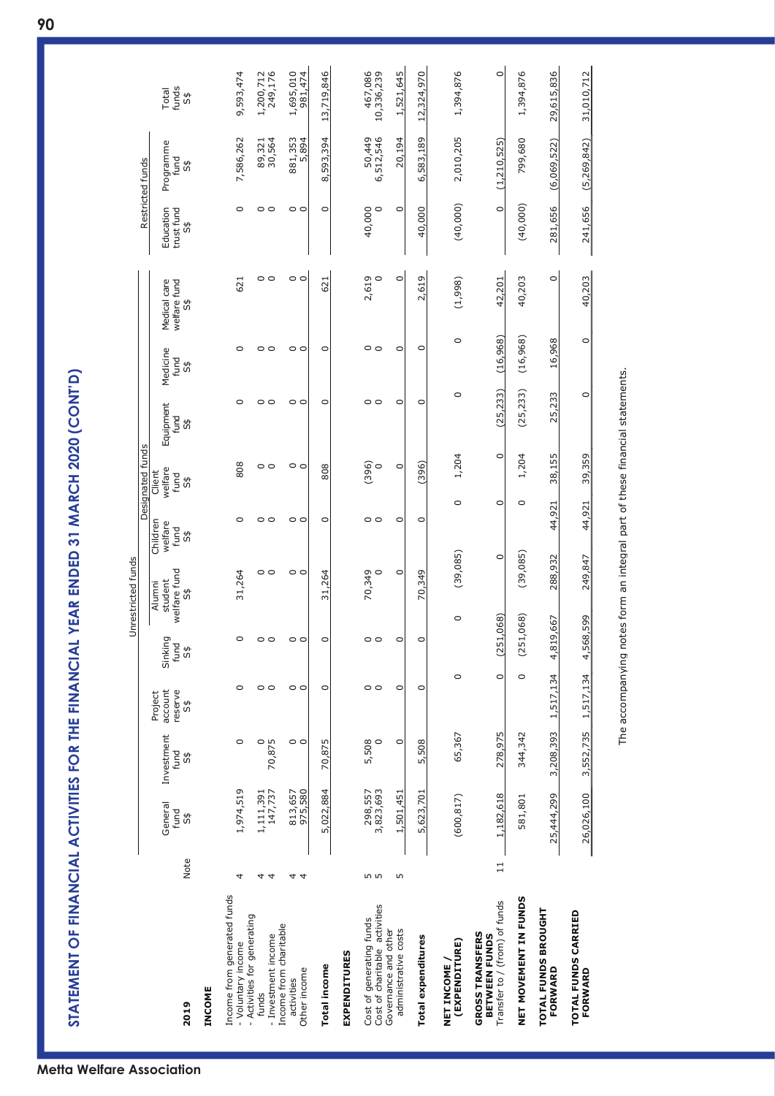|                                                                          |                |                        |                           |                                      |                        | Unrestricted funds                       |                                    | Designated funds                 |                          |                         |                                     |                                | Restricted funds         |                       |
|--------------------------------------------------------------------------|----------------|------------------------|---------------------------|--------------------------------------|------------------------|------------------------------------------|------------------------------------|----------------------------------|--------------------------|-------------------------|-------------------------------------|--------------------------------|--------------------------|-----------------------|
| 2019                                                                     | <b>Note</b>    | General<br>fund<br>S\$ | Investment<br>fund<br>\$5 | account<br>reserve<br>Project<br>\$S | Sinking<br>fund<br>S\$ | welfare fund<br>student<br>Alumni<br>\$S | Children<br>welfare<br>fund<br>S\$ | welfare<br>Client<br>fund<br>S\$ | Equipment<br>fund<br>S\$ | Medicine<br>fund<br>\$5 | Medical care<br>welfare fund<br>S\$ | Education<br>trust fund<br>S\$ | Programme<br>fund<br>\$S | funds<br>Total<br>S\$ |
| INCOME                                                                   |                |                        |                           |                                      |                        |                                          |                                    |                                  |                          |                         |                                     |                                |                          |                       |
| Income from generated funds<br>- Voluntary income                        | 4              | 1,974,519              | $\circ$                   | $\circ$                              | $\circ$                | 31,264                                   | O                                  | 808                              | O                        | $\circ$                 | 621                                 | $\circ$                        | 7,586,262                | 9,593,474             |
| - Activities for generating<br>- Investment income<br>funds              | 4<br>4         | 147,737<br>1,111,391   | 70,875<br>0               | $\circ$                              | ◠                      | 00                                       | $\circ$                            | $\circ$                          | 00                       | $\circ$                 | $\circ$                             | $\circ$                        | 89,321<br>30,564         | 1,200,712<br>249,176  |
| Income from charitable<br>Other income<br>activities                     | 4<br>4         | 813,657<br>975,580     | 00                        | $\circ$                              | $\Omega$               | 00                                       | $\circ$                            | $\circ$                          | $\circ$                  | $\circ$                 | $\circ$                             | 00                             | 881,353<br>5,894         | 1,695,010<br>981,474  |
| <b>Total income</b>                                                      |                | 5,022,884              | 70,875                    | $\circ$                              | $\mathbf C$            | 31,264                                   | $\circ$                            | 808                              | $\circ$                  | $\circ$                 | 621                                 | $\circ$                        | 593,394<br>ထဲ            | 13,719,846            |
| EXPENDITURES                                                             |                |                        |                           |                                      |                        |                                          |                                    |                                  |                          |                         |                                     |                                |                          |                       |
| Cost of charitable activities<br>Cost of generating funds                | m m            | 298,557<br>3,823,693   | 5,508<br>$\circ$          | $\circ$                              |                        | 70,349<br>o                              | $\circ$                            | (396)<br>0                       | 00                       | $\circ$                 | 2,619<br>$\circ$                    | 40,000<br>$\circ$              | 50,449<br>6,512,546      | 467,086<br>10,336,239 |
| administrative costs<br>Governance and other                             | LŊ             | 1,501,451              | $\circ$                   | $\circ$                              | ⊂                      | o                                        | $\circ$                            | $\circ$                          | C                        | $\circ$                 | $\circ$                             | $\circ$                        | 20,194                   | 1,521,645             |
| Total expenditures                                                       |                | 5,623,701              | 508<br>Ln,                | $\circ$                              | C                      | 70,349                                   | $\circ$                            | (396)                            | $\circ$                  | $\circ$                 | 2,619                               | 40,000                         | 6,583,189                | 12,324,970            |
| (EXPENDITURE)<br>NET INCOME                                              |                | (600, 817)             | 65,367                    | $\circ$                              |                        | (39,085)<br>$\circ$                      | $\circ$                            | 1,204                            | $\circ$                  | $\circ$                 | (1,998)                             | (40,000)                       | 2,010,205                | 1,394,876             |
| Transfer to / (from) of funds<br><b>GROSS TRANSFERS</b><br>BETWEEN FUNDS | $\overline{1}$ | 1,182,618              | 278,975                   | $\circ$                              | (251,068)              |                                          | $\circ$<br>0                       | $\circ$                          | (25, 233)                | (16,968)                | 42,201                              | $\circ$                        | (1, 210, 525)            | $\circ$               |
| NET MOVEMENT IN FUNDS                                                    |                | 581,801                | 344,342                   | $\circ$                              | (251,068)              | (39,085)                                 | $\circ$                            | 1,204                            | (25, 233)                | (16, 968)               | 40,203                              | (40,000)                       | 799,680                  | 1,394,876             |
| <b>TOTAL FUNDS BROUGHT</b><br>FORWARD                                    |                | 25,444,299             | 3,208,393                 | 1,517,134                            | 9,667<br>4,81          | 288,932                                  | 44,921                             | 38,155                           | 25,233                   | 16,968                  | $\circ$                             | 281,656                        | (6,069,522)              | 29,615,836            |
| TOTAL FUNDS CARRIED<br>FORWARD                                           |                | 26,026,100             | 3,552,735                 | 1,517,134                            | 4,568,599              | 249,847                                  | 44,921                             | 39,359                           | $\circ$                  | $\circ$                 | 40,203                              | 241,656                        | (5,269,842)              | 31,010,712            |
|                                                                          |                |                        |                           |                                      |                        |                                          |                                    |                                  |                          |                         |                                     |                                |                          |                       |

The accompanying notes form an integral part of these financial statements. The accompanying notes form an integral part of these financial statements.

[UEN. S94SS0081K]

**STATEMENT OF FINANCIAL ACTIVITIES FOR THE FINANCIAL YEAR ENDED 31 MARCH 2020 (CONT'D)**

STATEMENT OF FINANCIAL ACTIVITIES FOR THE FINANCIAL YEAR ENDED 31 MARCH 2020 (CONT'D)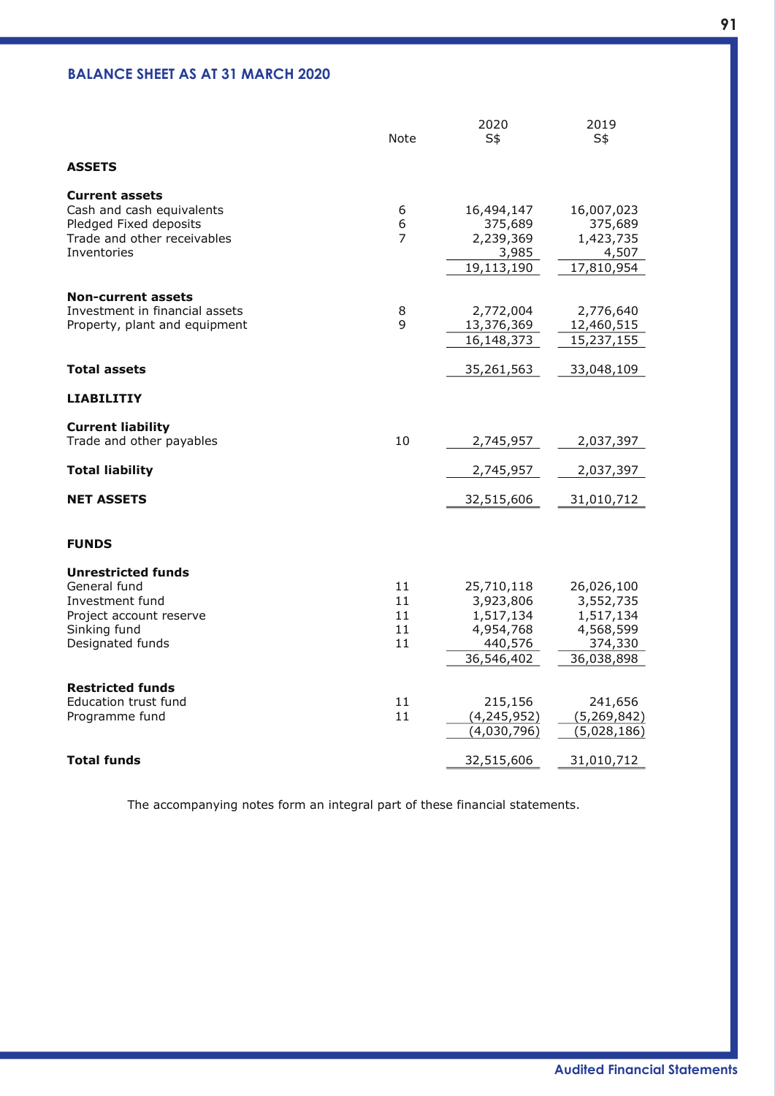# **BALANCE SHEET AS AT 31 MARCH 2020**

|                                                                                                                             | Note                       | 2020<br>S <sup>‡</sup>                                                     | 2019<br>S <sub>5</sub>                                                     |
|-----------------------------------------------------------------------------------------------------------------------------|----------------------------|----------------------------------------------------------------------------|----------------------------------------------------------------------------|
| <b>ASSETS</b>                                                                                                               |                            |                                                                            |                                                                            |
| <b>Current assets</b><br>Cash and cash equivalents<br>Pledged Fixed deposits<br>Trade and other receivables<br>Inventories  | 6<br>6<br>7                | 16,494,147<br>375,689<br>2,239,369<br>3,985<br>19,113,190                  | 16,007,023<br>375,689<br>1,423,735<br>4,507<br>17,810,954                  |
| <b>Non-current assets</b><br>Investment in financial assets<br>Property, plant and equipment                                | 8<br>9                     | 2,772,004<br>13,376,369<br>16,148,373                                      | 2,776,640<br>12,460,515<br>15,237,155                                      |
| Total assets                                                                                                                |                            | 35,261,563                                                                 | 33,048,109                                                                 |
| LIABILITIY                                                                                                                  |                            |                                                                            |                                                                            |
| <b>Current liability</b><br>Trade and other payables                                                                        | 10                         | 2,745,957                                                                  | 2,037,397                                                                  |
| <b>Total liability</b>                                                                                                      |                            | 2,745,957                                                                  | 2,037,397                                                                  |
| <b>NET ASSETS</b>                                                                                                           |                            | 32,515,606                                                                 | 31,010,712                                                                 |
| <b>FUNDS</b>                                                                                                                |                            |                                                                            |                                                                            |
| <b>Unrestricted funds</b><br>General fund<br>Investment fund<br>Project account reserve<br>Sinking fund<br>Designated funds | 11<br>11<br>11<br>11<br>11 | 25,710,118<br>3,923,806<br>1,517,134<br>4,954,768<br>440,576<br>36,546,402 | 26,026,100<br>3,552,735<br>1,517,134<br>4,568,599<br>374,330<br>36,038,898 |
| <b>Restricted funds</b><br>Education trust fund<br>Programme fund                                                           | 11<br>11                   | 215,156<br>(4, 245, 952)<br>(4,030,796)                                    | 241,656<br>(5, 269, 842)<br>(5,028,186)                                    |
| <b>Total funds</b>                                                                                                          |                            | 32,515,606                                                                 | 31,010,712                                                                 |

The accompanying notes form an integral part of these financial statements.

 $A_{\rm eff}$  and  $A_{\rm eff}$  is the statements of the statements of  $A_{\rm eff}$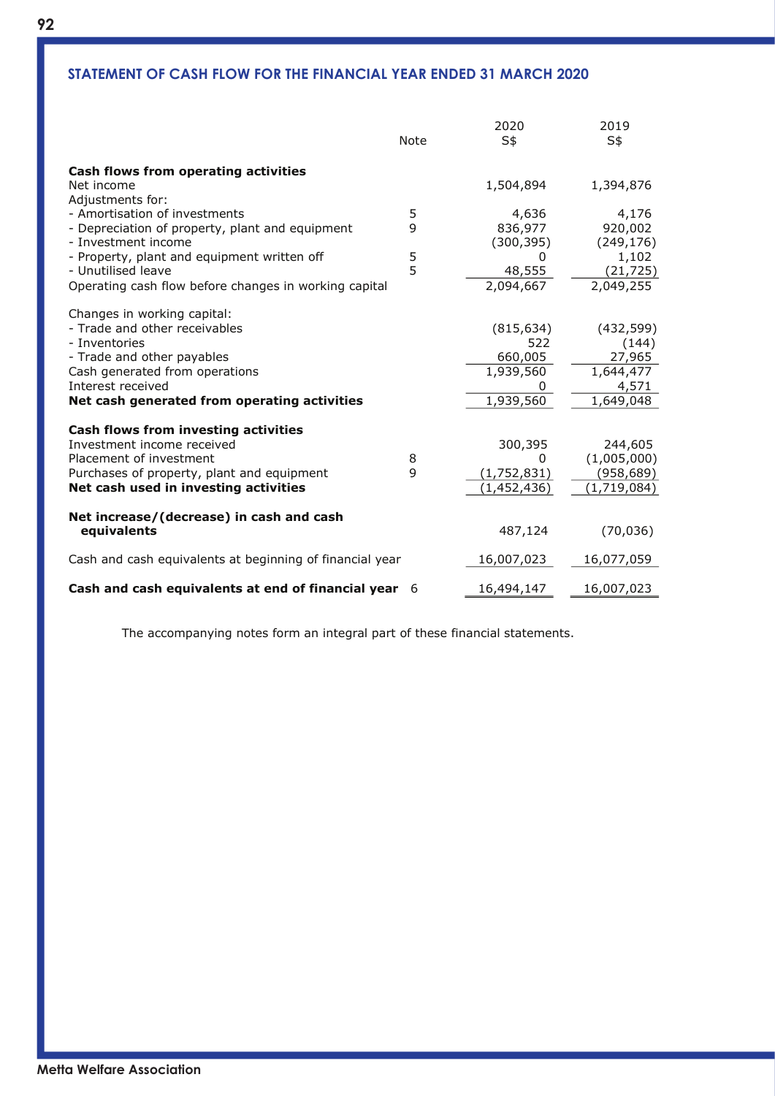# **STATEMENT OF CASH FLOW FOR THE FINANCIAL YEAR ENDED 31 MARCH 2020**

 $A_{\rm eff}$  and  $A_{\rm eff}$  are the statements of  $\Delta E_{\rm eff}$ 

|                                                                                  | Note   | 2020<br>S <sub>5</sub> | 2019<br>S <sup>4</sup> |
|----------------------------------------------------------------------------------|--------|------------------------|------------------------|
| Cash flows from operating activities                                             |        |                        |                        |
| Net income                                                                       |        | 1,504,894              | 1,394,876              |
| Adjustments for:                                                                 |        |                        |                        |
| - Amortisation of investments<br>- Depreciation of property, plant and equipment | 5<br>9 | 4,636<br>836,977       | 4,176<br>920,002       |
| - Investment income                                                              |        | (300, 395)             | (249, 176)             |
| - Property, plant and equipment written off                                      | 5      | O                      | 1,102                  |
| - Unutilised leave                                                               | 5      | 48,555                 | (21, 725)              |
| Operating cash flow before changes in working capital                            |        | 2,094,667              | 2,049,255              |
|                                                                                  |        |                        |                        |
| Changes in working capital:<br>- Trade and other receivables                     |        | (815, 634)             | (432, 599)             |
| - Inventories                                                                    |        | 522                    | (144)                  |
| - Trade and other payables                                                       |        | 660,005                | 27,965                 |
| Cash generated from operations                                                   |        | 1,939,560              | 1,644,477              |
| Interest received                                                                |        | 0                      | 4,571                  |
| Net cash generated from operating activities                                     |        | 1,939,560              | 1,649,048              |
| Cash flows from investing activities                                             |        |                        |                        |
| Investment income received                                                       |        | 300,395                | 244,605                |
| Placement of investment                                                          | 8      | O                      | (1,005,000)            |
| Purchases of property, plant and equipment                                       | 9      | (1,752,831)            | (958, 689)             |
| Net cash used in investing activities                                            |        | (1, 452, 436)          | (1,719,084)            |
| Net increase/(decrease) in cash and cash                                         |        |                        |                        |
| equivalents                                                                      |        | 487,124                | (70, 036)              |
| Cash and cash equivalents at beginning of financial year                         |        | 16,007,023             | 16,077,059             |
| Cash and cash equivalents at end of financial year                               | - 6    | 16,494,147             | 16,007,023             |
|                                                                                  |        |                        |                        |

The accompanying notes form an integral part of these financial statements.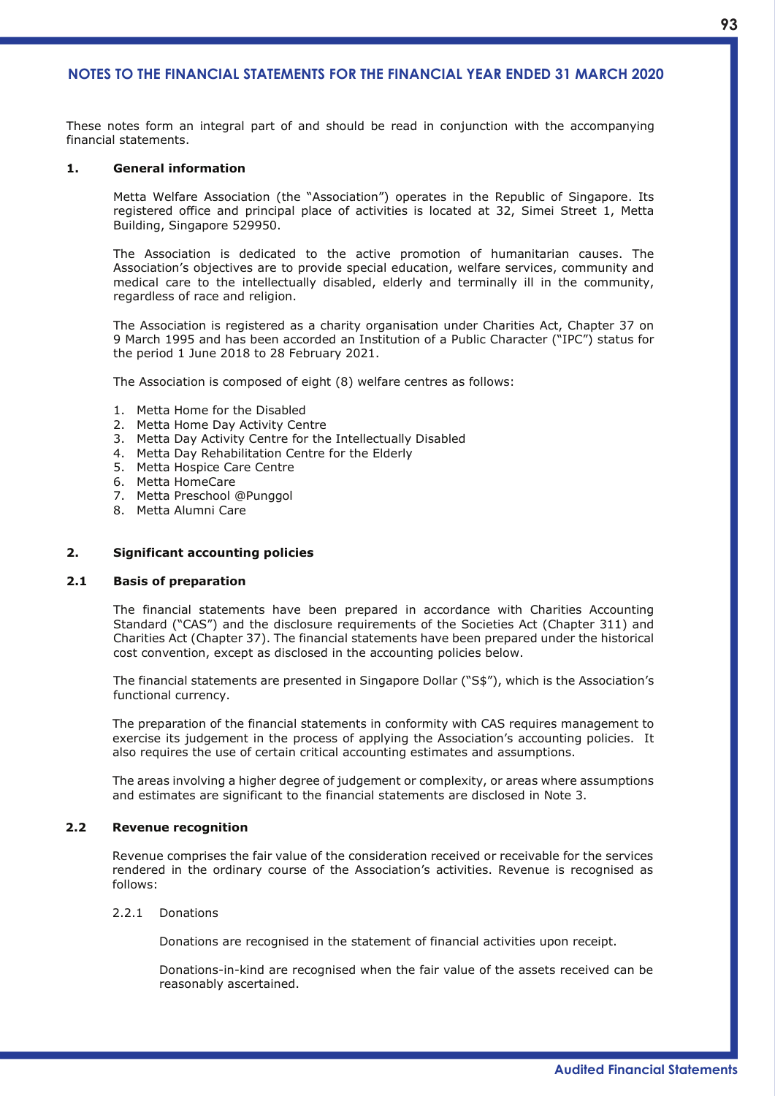### **NOTES TO THE FINANCIAL STATEMENTS FOR THE FINANCIAL YEAR ENDED 31 MARCH 2020** NOTES TO THE FINANCIAL STATEMENTS

These notes form an integral part of and should be read in conjunction with the accompanying financial statements.

# 1. General information

Metta Welfare Association (the "Association") operates in the Republic of Singapore. Its registered office and principal place of activities is located at 32, Simei Street 1, Metta Building, Singapore 529950.

The Association is dedicated to the active promotion of humanitarian causes. The Association's objectives are to provide special education, welfare services, community and medical care to the intellectually disabled, elderly and terminally ill in the community, regardless of race and religion.

The Association is registered as a charity organisation under Charities Act, Chapter 37 on 9 March 1995 and has been accorded an Institution of a Public Character ("IPC") status for the period 1 June 2018 to 28 February 2021.

The Association is composed of eight (8) welfare centres as follows:

- 1. Metta Home for the Disabled
- 2. Metta Home Day Activity Centre
- 3. Metta Day Activity Centre for the Intellectually Disabled
- 4. Metta Day Rehabilitation Centre for the Elderly
- 5. Metta Hospice Care Centre
- 6. Metta HomeCare
- 7. Metta Preschool @Punggol
- 8. Metta Alumni Care

# 2. Significant accounting policies

# 2.1 Basis of preparation

The financial statements have been prepared in accordance with Charities Accounting Standard ("CAS") and the disclosure requirements of the Societies Act (Chapter 311) and Charities Act (Chapter 37). The financial statements have been prepared under the historical cost convention, except as disclosed in the accounting policies below.

The financial statements are presented in Singapore Dollar ("S\$"), which is the Association's functional currency.

The preparation of the financial statements in conformity with CAS requires management to exercise its judgement in the process of applying the Association's accounting policies. It also requires the use of certain critical accounting estimates and assumptions.

The areas involving a higher degree of judgement or complexity, or areas where assumptions and estimates are significant to the financial statements are disclosed in Note 3.

# 2.2 Revenue recognition

Revenue comprises the fair value of the consideration received or receivable for the services rendered in the ordinary course of the Association's activities. Revenue is recognised as follows:

# 2.2.1 Donations

Donations are recognised in the statement of financial activities upon receipt.

Donations-in-kind are recognised when the fair value of the assets received can be reasonably ascertained.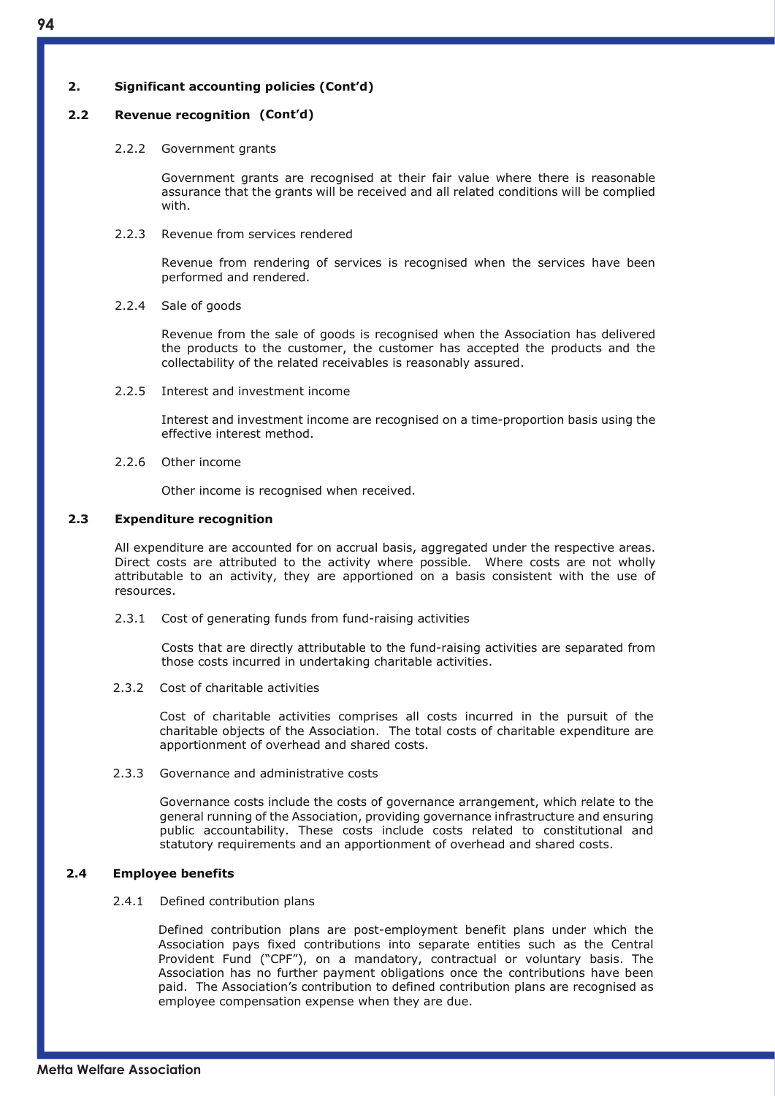# 2. Significant accounting policies (Cont'd)

### **Policies 2.2 Significant are recognitions (Cont'd)** and the assets received when the assets received are received can be assets received and are received can be assets received can be assets received can be assets receive re recognition (com a

# **2.2.2 Government grants Consideration received or received or received or received or received or received or received or received or received or received or received or received or recognition**  $\mathcal{L}$ rendered in the ordinary course of the Association's activities. Revenue is recognised as

follows: with. Government grants are recognised at their fair value where there is reasonable ecomment grants are recognised as the Asian Tan Take There are to reacchaste

Financial Year Ended 31 March 2020

[UEN. S94SS0081K]

# 2.2.3 Revenue from services rendered

Revenue from rendering of services is recognised when the services have been performed and rendered. performed and recognised when the fair value of the assets received and assets received can be assets received can be assets received can be assets received can be assets received can be assets received can be assets recei

# 2.2.4 Sale of goods

Revenue from the sale of goods is recognised when the Association has delivered the products to the customer, the customer has accepted the products and the  $\text{co}$  is recognised at the related receivables is reasonably assured collectability of the related receivables is reasonably assured collectability of the related receivables is reasonably assured.

2.2.5 Interest and investment income

Interest and investment income are recognised on a time-proportion basis using the performed and rendered. effective interest method. Revenue from rendering of services is recognised when the services have been

2.2.6 Other income

Other income is recognised when received. the products to the customer has accepted the products and the products and the products and the products and the products and the products and the products and the products and the products and the products and the produc

### 2.3 Expenditure recognition assured. The sale of goods is reasonably assured. The Sale of Goods is recognition  $t_{\text{c}}$  the customer, the customer, the customer has accepted the products and the products and the products and the products and the products and the products and the products and the products and the products and the

All expenditure are accounted for on accrual basis, aggregated under the respective areas.  $\frac{1}{2}$  in an activity they are apportioned on a basis consistent with the use of effective interest method.<br>Se attributable to an activity, they are apportioned on a basis consistent with the use of  $\sum_{i=1}^{n}$  interest and investment income are recognised on a time-proportion basis using the proportion basis using the set of  $\sum_{i=1}^{n}$ Direct costs are attributed to the activity where possible. Where costs are not wholly resources. e respective areas.

2.3.1 Cost of generating funds from fund-raising activities

Costs that are directly attributable to the fund-raising activities are separated from those costs incurred in undertaking charitable activities.

2.3 Experimental control of the control of 2.3.2 Cost of charitable activities

> Cost of charitable activities comprises all costs incurred in the pursuit of the charitable objects of the Association. The total costs of charitable expenditure are apportionment of overhead and shared costs. attributable to an activity, they are approximately assumed on a basis consistent with the use of use of use of use of use of use of use of use of use of use of use of use of use of use of use of use of use of use of use

2.3.3 Governance and administrative costs resources.

Governance costs include the costs of governance arrangement, which relate to the general running of the Association, providing governance infrastructure and ensuring public accountability. These costs include costs related to constitutional and statutory requirements and an apportionment of overhead and shared costs.

# 2.4 Employee benefits

# 2.4.1 Defined contribution plans

Association has no further payment obligations once the contributions have been employee compensation expense when they are due. Defined contribution plans are post-employment benefit plans under which the Association pays fixed contributions into separate entities such as the Central Provident Fund ("CPF"), on a mandatory, contractual or voluntary basis. The paid. The Association's contribution to defined contribution plans are recognised as

**94**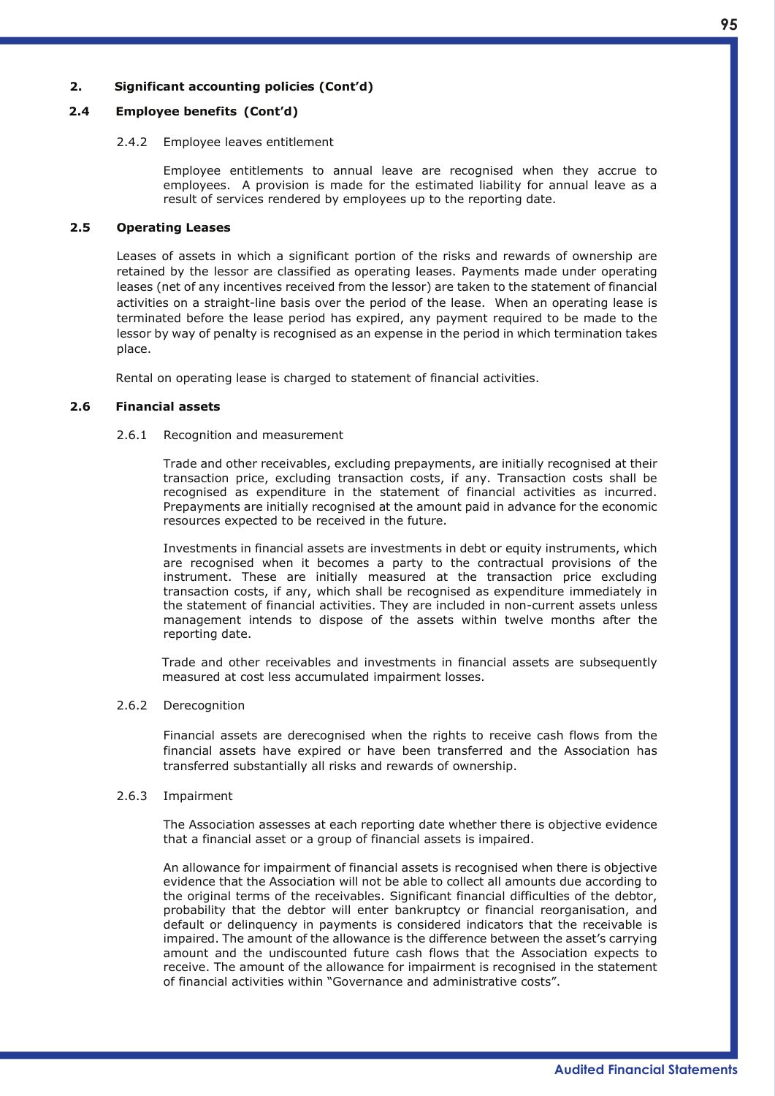# 2. Significant accounting policies (Cont'd) **Shared and an approximately** shared costs.

# 2.4 Employee benefits (Cont'd) paid. The Association's contribution to defined contribution plans are recognised as

# 2.4.2 Employee leaves entitlement

Employee entitlements to annual leave are recognised when they accrue to employees. A provision is made for the estimated liability for annual leave as a result of services rendered by employees up to the reporting date.

 $A$ s no further payment objective payment obligations on  $\mathbb{R}^n$ 

Defined contribution plans are post-employment benefit plans under which the

Governance costs include the costs of governance arrangement, which relate to the costs of governance  $\sigma$ 

Financial Year Ended 31 March 2020

### 2.5 Operating Leases and administrative costs and administrative contribution of and administrative contribution plans are recognised as a set of a set of an association plans are recognised as  $\alpha$ employee compensation expense when they are due.

Leases of assets in which a significant portion of the risks and rewards of ownership are retained by the lessor are classified as operating leases. Payments made under operating<br>leases (net of any incentives received from the lessor) are taken to the statement of financial activities on a straight-line basis over the period of the lease. When an operating lease is result action and the lease period has explice, any payment required to be made to the<br>lessor by way of penalty is recognised as an expense in the period in which termination takes  $\mathsf{p}_\mathsf{net}$ . retained by the lessor are classified as operating leases. Payments made under operating detinated of a straight line sasis over the period of the rease. Then an operating rease is<br>terminated before the lease period has expired, any payment required to be made to the place.  $P$ .1  $\alpha$ 

assurance that the grants will be received and all relations will be complied and all relations will be complied and all relations will be complied and all relations will be complied and all relations will be complied and with the state of the state of the state of the state of the state of the state of the state of the state of the state of the state of the state of the state of the state of the state of the state of the state of the state Rental on operating lease is charged to statement of financial activities. Metta Welfare Association Rental on operating lease is charged to statement or financial activities.

#### 2.6 Financial assets  $\mathbf{A}$  association pays fixed contributions into separate entities such as the Central such as the Central such as the Central such as the Central such as the Central such as the Central such as the Central such as the Provident Fund ("CPF"), on a mandatory, contractual or voluntary basis of voluntary basis. The contractual or voluntary basis of voluntary basis of voluntary basis. The contractual or voluntary basis of voluntary basis. Th retained by the lessor are classified as operating leases. Payments made under operating leases (net of any incentive received from the statement of financial statement of financial statement of financial statement of financial statement of financial statement of financial statement of financial statement of f

# 2.6.1 Recognition and measurement paradium and measurement

performed and rendered. 2.2.4 Sale of goods Prepayments are initially recognised at the amount paid in advance for the economic repayments are middle receptible at the amount paid in davance for the economic resources expected to be received in the future. Trade and other receivables, excluding prepayments, are initially recognised at their transaction price, excluding transaction costs, if any. Transaction costs shall be recognised as expenditure in the statement of financial activities as incurred. resources expected to be received in the future.

Investments in financial assets are investments in debt or equity instruments, which are recognised when it becomes a party to the contractual provisions of the transaction costs, if any, which shall be recognised as expenditure immediately in effective interest method. 2.2.6 Other income management intends to dispose of the assets within twelve months after the instrument. These are initially measured at the transaction price excluding the statement of financial activities. They are included in non-current assets unless reporting date. The statements are taken to the statement of financial at the amount paid in advance for the economic

Trade and other receivables and investments in financial assets are subsequently measured at cost less accumulated impairment losses.

# 2.6.2 Derecognition

Financial assets are derecognised when the rights to receive cash flows from the financial assets have expired or have been transferred and the Association has transferred substantially all risks and rewards of ownership.

### 2.6.3 Impairment Trade and other receivables, excluding prepayments, are initially recognised at their

The Association assesses at each reporting date whether there is objective evidence that a financial asset or a group of financial assets is impaired. Prepayments are initially recognised at the amount paid in advance for the economic

receive. The amount of the allowance for impairment is recognised in the statement An allowance for impairment of financial assets is recognised when there is objective evidence that the Association will not be able to collect all amounts due according to the original terms of the receivables. Significant financial difficulties of the debtor, probability that the debtor will enter bankruptcy or financial reorganisation, and default or delinquency in payments is considered indicators that the receivable is impaired. The amount of the allowance is the difference between the asset's carrying amount and the undiscounted future cash flows that the Association expects to of financial activities within "Governance and administrative costs".

shall not result in any carrying amount of the financial asset (net of any allowance  $\alpha$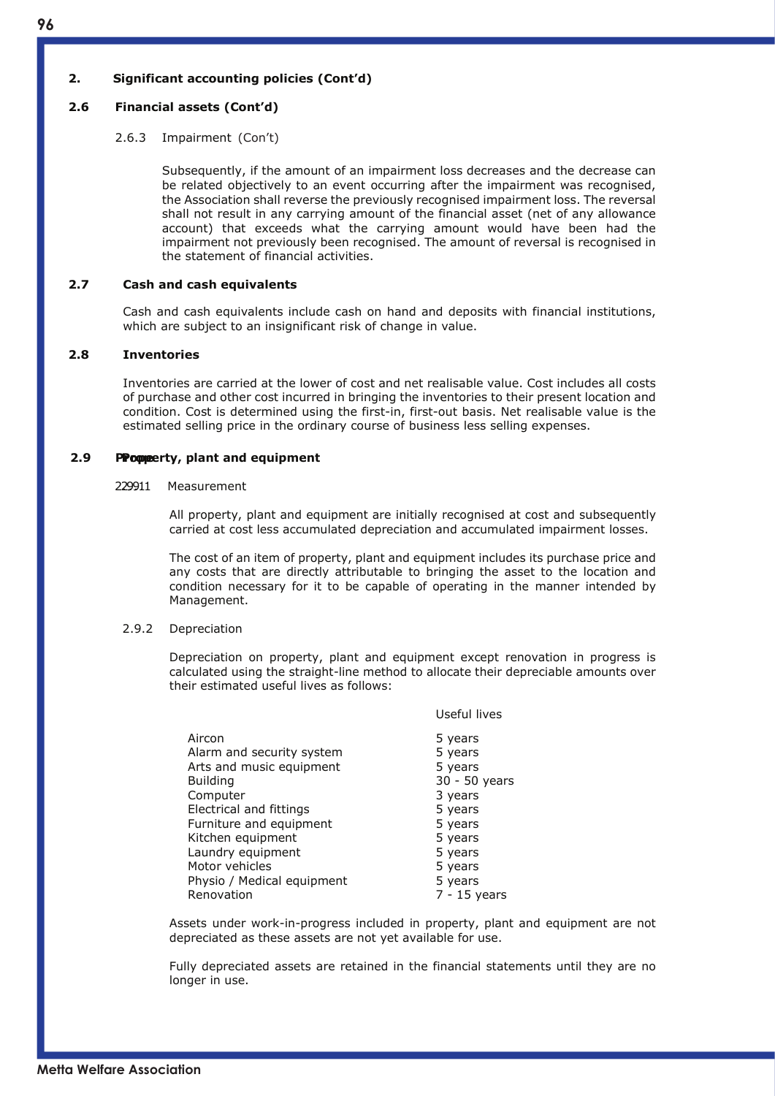### 2. Significant accounting policies (Cont'd) **Shows for the debtor with the dept**or or financial research or financial research flows from the stock of the debtor will enter bank ruptch or financial research or financial re  $\frac{d}{dt}$  default of policies (considered indicators that the recognition is considered in  $\frac{d}{dt}$

### 2.6 Financial assets (Cont'd) **impaired.** The amount of the allowance is the allowance between the assets carrying of the assets carrying of the assets carrying of the assets carrying of the assets carrying of the assets c  $\frac{1}{2}$  and the unit that the understand function expects to  $\frac{1}{2}$

2.6.2 Derecognition

### 2.6.3 Impairment (Con't)  $\mathbf{r} = \mathbf{r} \cdot \mathbf{r} = \mathbf{r} \cdot \mathbf{r} = \mathbf{r} \cdot \mathbf{r} = \mathbf{r} \cdot \mathbf{r} = \mathbf{r} \cdot \mathbf{r} = \mathbf{r} \cdot \mathbf{r} = \mathbf{r} \cdot \mathbf{r} = \mathbf{r} \cdot \mathbf{r} = \mathbf{r} \cdot \mathbf{r} = \mathbf{r} \cdot \mathbf{r} = \mathbf{r} \cdot \mathbf{r} = \mathbf{r} \cdot \mathbf{r} = \mathbf{r} \cdot \mathbf{r} = \mathbf{r} \cdot \mathbf{r} = \mathbf$

Subsequently, if the amount of an impairment loss decreases and the decrease can be related objectively to an event occurring after the impairment was recognised, be related before the train of the transmitted at the impairment was recognised, the Association shall reverse the previously recognised impairment loss. The reversal shall not result in any carrying amount of the financial asset (net of any allowance account) that exceeds what the carrying amount would have been had the impairment not previously been recognised. The amount of reversal is recognised in mpannicite hot previously been recognised. The dinodite or reversation ecognised in default or delinquency in payments is considered indicators that the receivable is

evidence that the Association will not be able to collect all amounts due according to collect amounts due according to  $\alpha$ 

Financial Year Ended 31 March 2020

#### 2.7 Cash and cash equivalents in financial assets are subsequently carrying carrying carrying carrying carrying carrying carrying carrying carrying carrying carrying carrying carrying carrying carrying carrying carrying ca measured at cost less accumulations and control to the cost of the cost of the cost of the cost of the cost of amounted future cash flows that the undiscounted future cash flows that the Association expects that the Association expects to

2.6.2 Derecognition of financial activities within "Governance and administrative costs". which are subject to an insignificant risk of change in value. Cash and cash equivalents include cash on hand and deposits with financial institutions,

#### $\frac{1}{\pi}$  for rights are derecognised when the rights to receive cash flows from the rights to receive cash flows from the rights to receive cash flows from the rights to receive cash flows from the rights of  $\frac{1}{\pi}$  $S$ ubsequently, if the amount of an impairment loss decreases and the decreases and the impairment was recognised, the impairment was recognised, the impairment was recognised, the impairment was recognised, the impairmen 2.8 Inventories

Inventories are carried at the lower of cost and net realisable value. Cost includes all costs condition. Cost is determined using the first-in, first-out basis. Net realisable value is the of purchase and other cost incurred in bringing the inventories to their present location and estimated selling price in the ordinary course of business less selling expenses. the statement of financial activities.

#### $\frac{1}{2}$  financial assets of financial assets is impaired. 2.9 Property, plant and equipment

#### 2.29911 Measurement of financial assets is recognised when the is objective when the is objective when the is objective when the is objective when the is objective when the is objective when the isotropy of the isotropy of  $\mathcal{L}$

All property, plant and equipment are initially recognised at cost and subsequently carried at cost less accumulated depreciation and accumulated impairment losses. default or delinquency in payments is considered indicators that the receivable is

The cost of an item of property, plant and equipment includes its purchase price and any costs that are directly attributable to bringing the asset to the location and condition necessary for it to be capable of operating in the manner intended by of financial activities within "Governance and administrative costs". Management. Management. estimated selling price in the ordinary course of business selling expenses. In the ordinary course of busines

### 2.9.2 Depreciation and the decreases and the decreases and the decrease can can impair be related objectively to an event occurring after the impairment was recognised,

Depreciation on property, plant and equipment except renovation in progress is calculated using the straight-line method to allocate their depreciable amounts over their estimated useful lives as follows:

| Aircon                     | 5 years       |              |
|----------------------------|---------------|--------------|
| Alarm and security system  | 5 years       |              |
| Arts and music equipment   | 5 years       |              |
| <b>Building</b>            | 30 - 50 years |              |
| Computer                   | 3 years       |              |
| Electrical and fittings    | 5 years       |              |
| Furniture and equipment    | 5 years       |              |
| Kitchen equipment          | 5 years       |              |
| Laundry equipment          | 5 years       |              |
| Motor vehicles             | 5 years       |              |
| Physio / Medical equipment | 5 years       |              |
| Renovation                 | 7 - 15 years  |              |
|                            |               | Useful lives |

activities for the financial year in which the changes arise.

activities for the financial year in which the financial  $\alpha$ 

Renovation<br>Assets under work-in-progress included in property, plant and equipment are not depreciated as these assets are not yet available for use.

depreciated as these assets are not yet available for use.<br>Fully depreciated assets are retained in the financial statements until they are no longer in use. longer in use.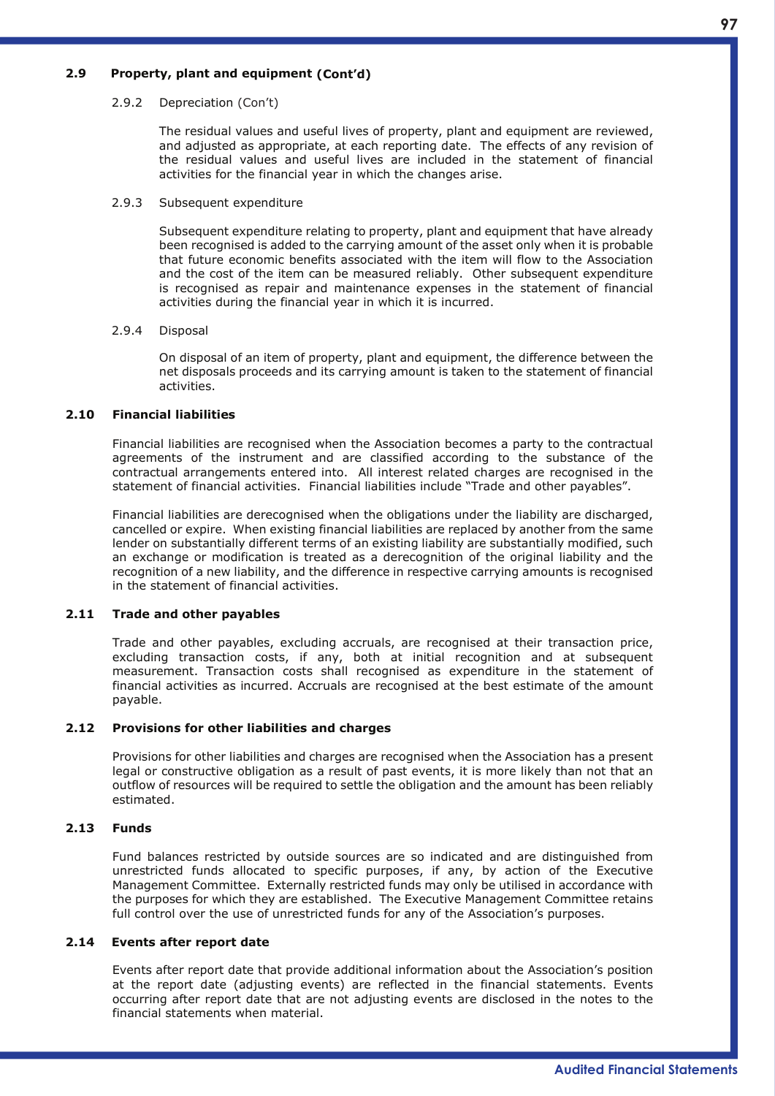# 2.9 Property, plant and equipment (Cont'd)

# 2.9.2 Depreciation (Con't)

The residual values and useful lives of property, plant and equipment are reviewed, the residual values and useful lives are included in the statement of financial activities for the financial year in which the changes arise. The residual values and useful lives of property, plant and equipment are reviewed,<br>and adjusted as appropriate, at each reporting date. The effects of any revision of<br>the residual values and useful lives are included in t

The cost of an item of an item of property, plant and equipment includes its purchase price and equipment in any costs that are directly attribute to bringing the asset to the asset to the location and location and location and  $\alpha$ 

 $A$ sets under word-in-progress included in property, plant and equipment and equipment are not not not not not

# 2.9.3 Subsequent expenditure immediately in the manner intended by intended by intended by intended by intended by in Aircon 5 years of the control of the control of the control of the control of the control of the control of the

Subsequent expenditure relating to property, plant and equipment that have already been recognised is added to the carrying amount of the asset only when it is probable and the cost of the item can be measured reliably. Other subsequent expenditure is recognised as repair and maintenance expenses in the statement of financial activities during the financial year in which it is incuri Building 30 - 50 years that future economic benefits associated with the item will flow to the Association activities during the financial year in which it is incurred.

#### $\mathsf{p}\in\mathsf{S}$  is a set of  $\mathsf{S}$  is a set of  $\mathsf{S}$  is a set of  $\mathsf{S}$  is a set of  $\mathsf{S}$ 2.9.4 Disposal motor vehicles 5 years with the second contract of the second contract of the second contract of the second contract of the second contract of the second contract of the second contract of the second contract of the second

Financial assets are derecognised when the rights to receive cash flows from the On disposal of an item of property, plant and equipment, the difference between the net disposals proceeds and its carrying amount is taken to the statement of financial  $A = \frac{1}{2}$  years and music equipment  $\frac{1}{2}$  years and  $\frac{1}{2}$  years and  $\frac{1}{2}$  years and  $\frac{1}{2}$  years and  $\frac{1}{2}$  years and  $\frac{1}{2}$  years and  $\frac{1}{2}$  years and  $\frac{1}{2}$  years and  $\frac{1}{2}$  years and  $\frac$  $B_{\rm 30}$  -  $B_{\rm 30}$  -  $50$  years  $30$  -  $50$  years  $30$  $A$ sets under work-in-progress included in property, plant and equipment and equipment are not not not not not not  $\alpha$  activities.

#### 2.10 Financial liabilities are not yet available for use. The not yet available for use. The set of use of use  $E$  is the fitting  $\mathcal{L}_\mathcal{S}$  years  $\mathcal{L}_\mathcal{S}$  years  $\mathcal{L}_\mathcal{S}$  years  $\mathcal{L}_\mathcal{S}$  $2.10$

Financial liabilities are recognised when the Association becomes a party to the contractual I mancial habilities are recognised when the Association becomes a party to the contractual<br>agreements of the instrument and are classified according to the substance of the an allowance for interest in particular for interests is related when the second there is no subset  $\mu$  $\mu$  of mandal addition. That the habitation model is able to collect payables to  $\mu$ contractual arrangements entered into. All interest related charges are recognised in the of financial activities Einancial liabilities include " Physio / Medical equipment 5 years  $\mu$  of financial activities. Financial liabilities include "Trade and other payables", statement of financial activities. Financial liabilities include "Trade and other payables".<br>.

Financial liabilities are derecognised when the obligations under the liability are discharged, probability that the debtor will enter the debtor will enter the manufacture of the debt of the debt of the debt of the debt of the debt of the debt of the debt of the debt of the debt of the debt of the debt of the debt o cancelled or expire. When existing financial liabilities are replaced by another from the same lender on substantially different terms of an existing liability are substantially modified, such and  $\sigma$  and the university and the difference as a detection expective expective association experience is procedured. recognition of a new liability, and the difference in respective carrying amounts is recognised in the statement of financial activities dienient of miditual activities. an exchange or modification is treated as a derecognition of the original liability and the in the statement of financial activities.

### 2.11 Trade and other payables and the decreases and the item will flow to the Association will flow to the item will flow to the Association will flow to the item will flow to the Association will flow to the Association w The residual values and useful lives of property, plant and equipment are reviewed,

nd other navables, excluding accruals, are recognised at their transaction price. excluding transaction costs, if any, both at initial recognition and at subsequent  $s_{\rm H}$  is any carrying amount of the financial angles (net of any allowance of any allowance of any allowance  $\frac{1}{2}$ account  $\alpha$  is a count of  $\alpha$  and the carrying amount would have been had the carrying and the carrying  $\alpha$ financial activities as incurred. Accruals are recognised at the best estimate of the amount measurement. Transaction costs shall recognised as expenditure in the statement of payable. Trade and other payables, excluding accruals, are recognised at their transaction price,<br>excluding transaction costs, if any both at initial recognition and at subsequent.

#### 2.12 Provisions for other liabilities and charges been recognised is added to the carrying amount of the asset only when it is probable 2.12 Provisions for other liabilities and charges

Provisions for other liabilities and charges are recognised when the Association has a present legal or constructive obligation as a result of past events, it is more likely than not that an estimated. outflow of resources will be required to settle the obligation and the amount has been reliably activities during the financial year in which it is in which it is in which it is including the financial year<br>The financial year in which is including the financial year in which is including the financial year in which

#### Inventories are carried at the lower of costs and net realisable value. Costs and net realisable value. Costs i 2.13 **Funds**

of purchase and other cost incurred in bringing the inventories to their present location and and balances restricted by outside sources are so indicated and are distinguished from iffestricted funds anotated to specific purposes, if any, by action of the Fund balances restricted by outside sources are so indicated and are distinguished from net disposals proceeds and its carrying amount is taken to the statement of financial unrestricted funds allocated to specific purposes, if any, by action of the Executive and consects. These ansected the operator parposes, in any, by action of the ancelents the purposes for which they are established. The Executive Management Committee retains full control over the use of unrestricted funds for any of the Association's purposes.

#### $2.14$ Events after report date

Events after report date that provide additional information about the Association's position at the report date (adjusting events) are reflected in the financial statements. Events occurring after report date that are not adjusting events are disclosed in the notes to the financial statements when material.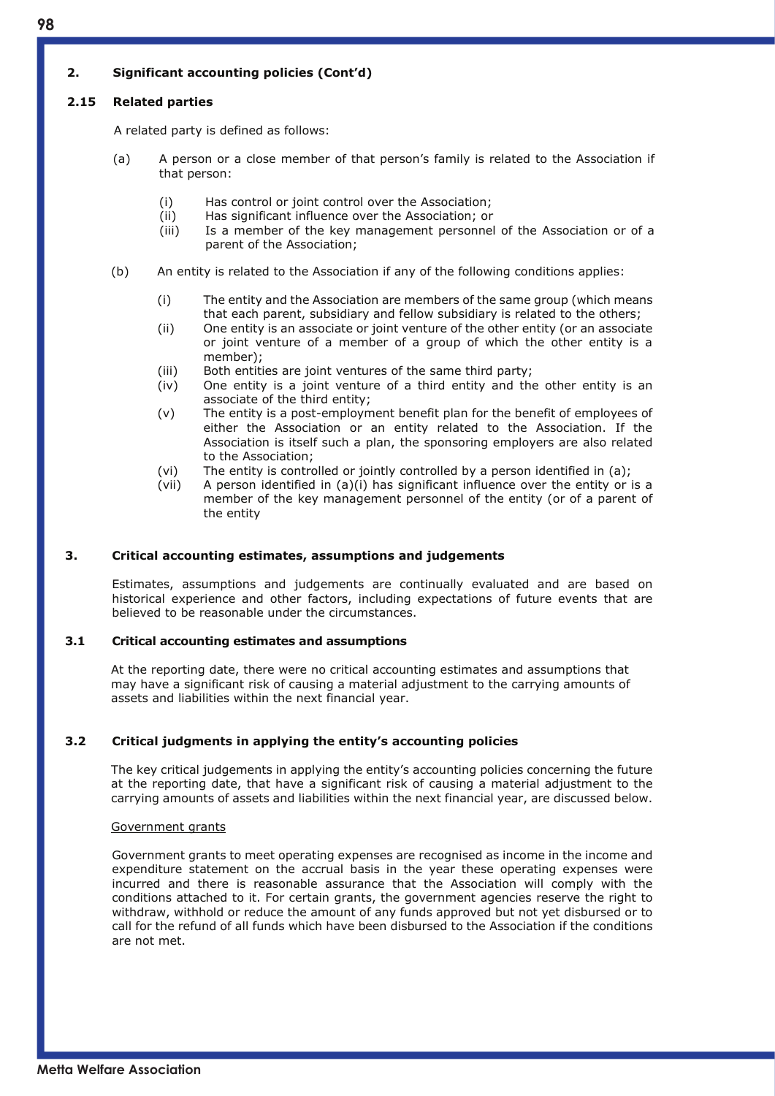# 2. Significant accounting policies (Cont'd)

# 2.15 Related parties

A related party is defined as follows:  $\overline{a}$ 

(a) A person or a close member of that person's family is related to the Association if  $\frac{1}{\pi}$  that person:  $\frac{1}{\pi}$  is include  $\frac{1}{\pi}$  and other payables  $\frac{1}{\pi}$  and other payables  $\frac{1}{\pi}$  and other payables  $\frac{1}{\pi}$  and other payables  $\frac{1}{\pi}$  and  $\frac{1}{\pi}$  and  $\frac{1}{\pi}$  and  $\frac{1}{\pi}$ 

Events after report data that provide a ditional information about the Association about the Association's position at the report date (adjusting events) are reflected in the financial statements. Events

- (i) Has control or joint control over the Association;
- (ii) Has significant influence over the Association; or
- (iii) Is a member of the key management personnel of the Association or of a<br>parent of the Association; parent of the Association; is the original liability and the original liability and the original liability and the original liability and the original liability and the original liability and the original liability and the
	- (b) An entity is related to the Association if any of the following conditions applies:
- (i) The entity and the Association are members of the same group (which means that each parent, subsidiary and fellow subsidiary is related to the others;
	- (ii) One entity is an associate or joint venture of the other entity (or an associate or joint venture of a member of a group of which the other entity is a member); the statement of the statement of the statement of the statement of the statement of the statement of the statement of the statement of the statement of the statement of the statement of the statement of the stat member);
		- (iii) Both entities are joint ventures of the same third party;
			- $(iv)$ One entity is a joint venture of a third entity and the other entity is an associate of the third entity;
- (v) The entity is a post-employment benefit plan for the benefit of employees of Association is itself such a plan, the sponsoring employers are also related to the Association; it is more likely than not than not that an intervals of past events, it is more likely than  $\mathbf{r}_i$ either the Association or an entity related to the Association. If the
	- (vi) The entity is controlled or jointly controlled by a person identified in (a);
		- $(vii)$ A person identified in  $(a)(i)$  has significant influence over the entity or is a member of the key management personnel of the entity (or of a parent of the entity

# 3. Critical accounting estimates, assumptions and judgements

Estimates, assumptions and judgements are continually evaluated and are based on historical experience and other factors, including expectations of future events that are believed to be reasonable under the circumstances.

# 3.1 Critical accounting estimates and assumptions

At the reporting date, there were no critical accounting estimates and assumptions that may have a significant risk of causing a material adjustment to the carrying amounts of assets and liabilities within the next financial year.

# 3.2 Critical judgments in applying the entity's accounting policies

at the reporting date, that have a significant risk of causing a material adjustment to the carrying amounts of assets and liabilities within the next financial year, are discussed below. The key critical judgements in applying the entity's accounting policies concerning the future

# **Government grants** control over the Association; and Association; and Association; **Government** grants and Association; and Association; and Association; and Association; and Association; and Association; and Association;

Government grants to meet operating expenses are recognised as income in the income and expenditure statement on the accrual basis in the year these operating expenses were incurred and there is reasonable assurance that the Association will comply with the conditions attached to it. For certain grants, the government agencies reserve the right to withdraw, withhold or reduce the amount of any funds approved but not yet disbursed or to call for the refund of all funds which have been disbursed to the Association if the conditions are not met.

**98**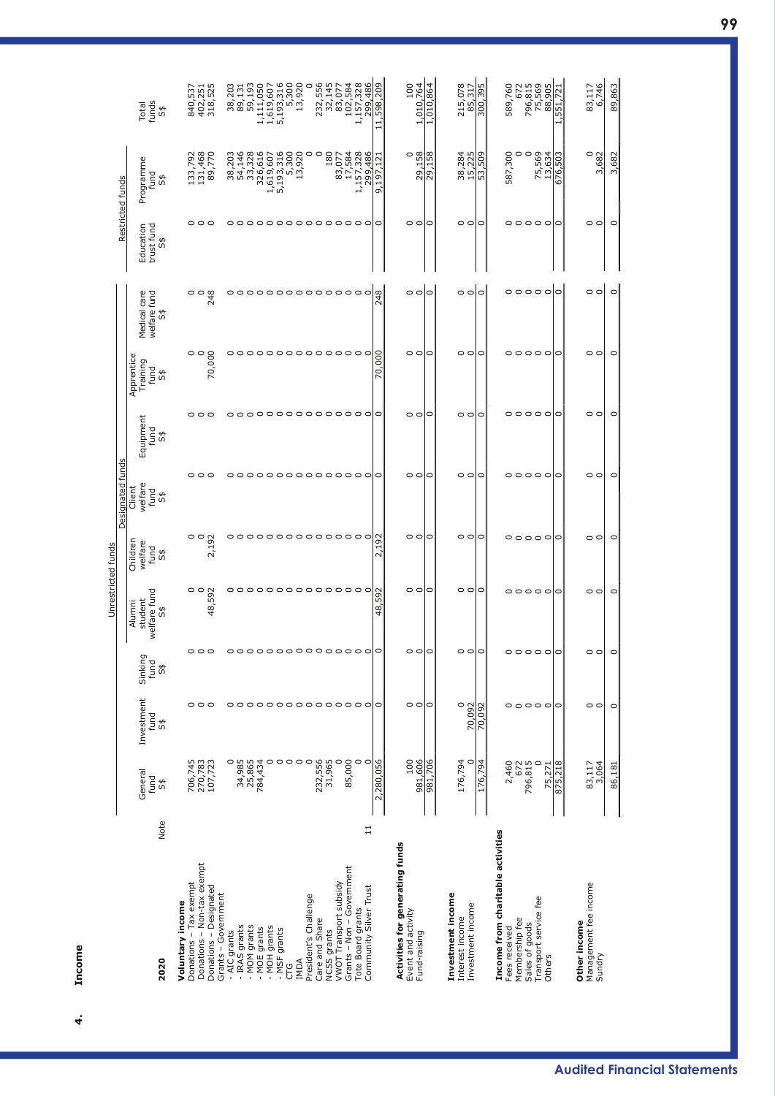| ¢<br>ı |  |
|--------|--|
| ı      |  |
| ٠      |  |

 $\vec{r}$ 

|                                                             |                        |                           |                        | Unrestricted funds                      |                                    |                                  |                          |                                       |                                     |                                 |                          |                                           |
|-------------------------------------------------------------|------------------------|---------------------------|------------------------|-----------------------------------------|------------------------------------|----------------------------------|--------------------------|---------------------------------------|-------------------------------------|---------------------------------|--------------------------|-------------------------------------------|
|                                                             |                        |                           |                        |                                         |                                    | Designated funds                 |                          |                                       |                                     |                                 | Restricted funds         |                                           |
| Note<br>2020                                                | General<br>fund<br>S\$ | Investment<br>fund<br>S\$ | Sinking<br>fund<br>S\$ | welfare fund<br>student<br>Alumni<br>SŞ | Children<br>welfare<br>fund<br>S\$ | welfare<br>Client<br>fund<br>S\$ | Equipment<br>fund<br>S\$ | Apprentice<br>Training<br>fund<br>S\$ | Medical care<br>welfare fund<br>S\$ | trust fund<br>Education<br>S\$  | Programme<br>fund<br>S\$ | Total<br>funds<br>S\$                     |
| Voluntary income                                            |                        |                           |                        |                                         |                                    |                                  |                          |                                       |                                     |                                 |                          |                                           |
| Donations - Non-tax exempt<br>Donations - Tax exempt        | 706,745<br>270,783     | $\circ$ $\circ$           | 000                    | 00                                      |                                    | 000                              | $\circ$                  | 00                                    | 00                                  | 00                              | 133,792<br>131,468       | 840,537<br>402,251                        |
| Donations - Designated<br>Grants - Government               | 107,723                |                           |                        | 48,592                                  |                                    |                                  | $\circ$                  | 70,000                                | 248                                 | $\circ$                         | 89,770                   | 318,525                                   |
| - AIC grants                                                | $\circ$                |                           |                        |                                         |                                    |                                  |                          |                                       |                                     |                                 | 38,203                   | 38,203                                    |
| - IRAS grants                                               | 34,985<br>25,865       |                           |                        |                                         |                                    |                                  |                          |                                       |                                     |                                 | 54,146                   | 89,131                                    |
| - MOM grants                                                |                        |                           |                        |                                         |                                    |                                  |                          |                                       |                                     | oooooooooooo                    | 33,328                   | 59,193                                    |
| - MOE grants                                                | 784,434                |                           |                        |                                         |                                    |                                  |                          |                                       |                                     |                                 | 326,616                  | 1,111,050                                 |
| - MOH grants<br>- MSF grants                                | $\circ$                |                           |                        |                                         |                                    |                                  |                          |                                       |                                     |                                 | 1,619,607<br>5,193,316   | 1,619,607<br>5,193,316                    |
| ს<br>ს                                                      | $\circ$                |                           |                        |                                         |                                    |                                  |                          |                                       |                                     |                                 |                          |                                           |
| IMDA                                                        | $\circ$                |                           |                        |                                         |                                    |                                  |                          |                                       |                                     |                                 | 5,300<br>13,920          | 5,300<br>13,920                           |
| President's Challenge                                       | $\circ$                |                           |                        |                                         |                                    |                                  |                          |                                       |                                     |                                 | $\circ$                  |                                           |
| Care and Share                                              | 232,556<br>31,965      |                           |                        |                                         |                                    |                                  |                          |                                       |                                     |                                 | $\circ$                  | 232,556                                   |
| NCSS grants                                                 |                        |                           |                        |                                         |                                    |                                  |                          |                                       |                                     |                                 | 180                      | 32,145                                    |
| VWOT Transport subsidy                                      | $\circ$                |                           |                        |                                         |                                    |                                  |                          |                                       |                                     |                                 | 83,077                   |                                           |
| Grants - Non - Government                                   | 85,000                 |                           |                        |                                         |                                    |                                  |                          |                                       |                                     |                                 | 17,584                   |                                           |
| $\mathbf{1}$<br>Community Silver Trust<br>Tote Board grants | $\circ$<br>$\circ$     | 00000000000000            | 00000000000000         |                                         | oooooooooooooo                     |                                  | oooooooooooooo           | oooooooooooooo                        | oooooooooooooo                      | $\circ$                         | 1,157,328                | 83,077<br>102,584<br>1,157,328<br>299,486 |
|                                                             | 2,280,056              | $\circ$                   | $\circ$                | 48,592                                  | 2,192                              | $\circ$                          | $\circ$                  | 000<br>70,                            | 248                                 | $\circ$                         | 9,197,121                | 598,209<br>E,                             |
| Activities for generating funds                             |                        |                           |                        |                                         |                                    |                                  |                          |                                       |                                     |                                 |                          |                                           |
| Event and activity                                          | 100                    | $\circ$                   | $\circ$                | $\circ$                                 | $\circ$                            | $\circ$                          | $\circ$                  | $\circ$                               | $\circ$                             | $\circ$                         | $\circ$                  | 100                                       |
| Fund-raising                                                | 981,606                |                           |                        |                                         |                                    |                                  |                          |                                       |                                     |                                 | 29,158                   | 1,010,764                                 |
|                                                             | 981,706                | $\circ$                   | $\circ$                | $\circ$                                 | $\circ$                            | $\circ$                          | $\circ$                  | $\circ$                               | $\circ$                             | $\circ$                         | 29,158                   | 1,010,864                                 |
| Investment income<br>Interest income                        | 176,794                | $\circ$                   |                        |                                         |                                    |                                  |                          |                                       |                                     |                                 |                          |                                           |
| Investment income                                           |                        | 70,092                    | 00                     | 00                                      | $\circ \circ \circ$                | $\circ$                          | 00                       | $\circ$                               | $\circ$ $\circ$                     | 00                              | 38,284<br>15,225         | 215,078<br>85,317                         |
|                                                             | 176,794                | 70.092                    | $\circ$                | 0                                       |                                    | 0                                | 0                        | $\circ$                               |                                     | 0                               | 53,509                   | 300,395                                   |
| Income from charitable activities                           |                        |                           |                        |                                         |                                    |                                  |                          |                                       |                                     |                                 |                          |                                           |
| Fees received                                               | 2,460                  |                           |                        |                                         |                                    |                                  |                          |                                       |                                     |                                 | 587,300                  | 589,760                                   |
| Membership fee<br>Sales of goods                            | 672<br>796,815         |                           |                        |                                         |                                    |                                  |                          |                                       |                                     |                                 | $\circ$                  |                                           |
| Transport service fee                                       | $\circ$                |                           |                        |                                         |                                    |                                  |                          |                                       |                                     |                                 |                          |                                           |
| Others                                                      | 75,271                 | 00000                     | 00000                  | 00000                                   | 00000                              | 00000                            | 00000                    | 00000                                 | 00000                               | $\circ \circ \circ \circ \circ$ | 75,569<br>13,634         | 672<br>796,815<br>75,569<br>88,905        |
|                                                             | 875,218                | 0                         | $\circ$                | $\circ$                                 | $\circ$                            | $\circ$                          | $\circ$                  | $\circ$                               | $\circ$                             | $\circ$                         | 676,503                  | 1,551,721                                 |
| Management fee income<br>Other income                       | 83,117                 |                           |                        |                                         |                                    |                                  |                          |                                       |                                     |                                 | 0                        | 83,117                                    |
| Sundry                                                      | 3,064                  | $\circ$                   | $\circ$                | 00                                      | $\circ$                            | $\circ$                          | $\circ$                  | 00                                    | $\circ$                             | 00                              | 3,682                    | 6,746                                     |
|                                                             | 86,181                 | $\circ$                   | $\circ$                | $\circ$                                 | $\circ$                            | $\circ$                          | $\circ$                  | $\circ$                               | $\circ$                             | $\circ$                         | 3,682                    | 89,863                                    |
|                                                             |                        |                           |                        |                                         |                                    |                                  |                          |                                       |                                     |                                 |                          |                                           |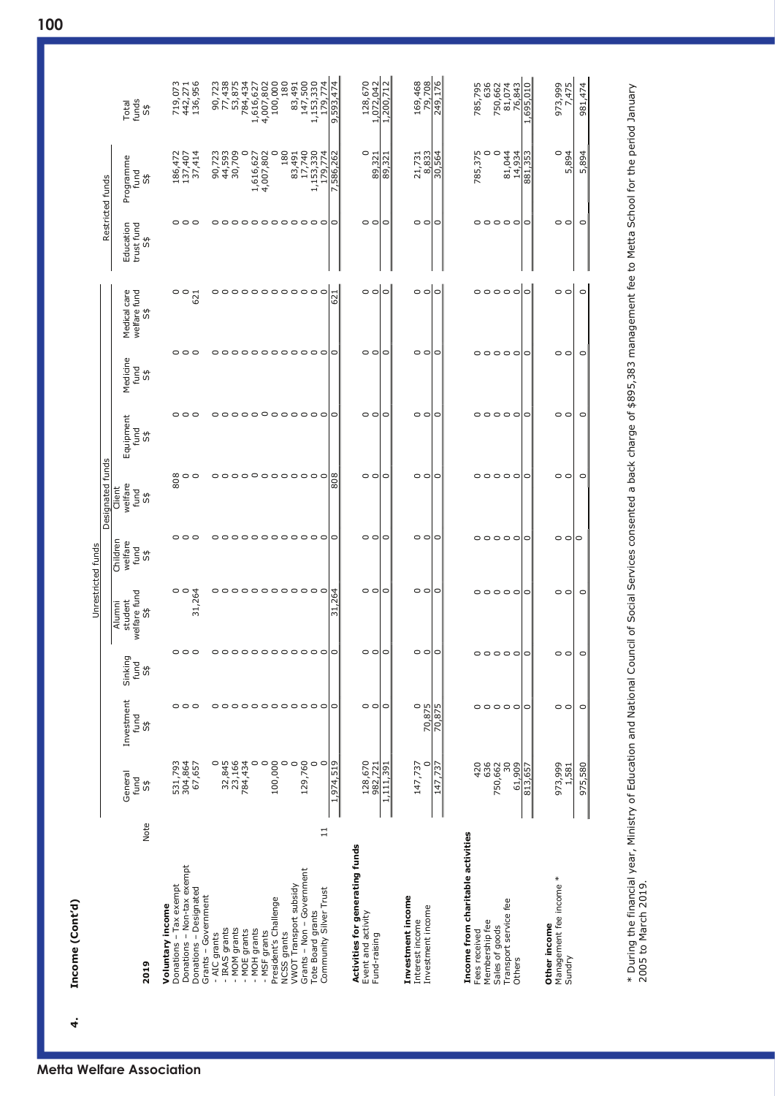|                                               |                     |                     |                 |                                   |                             | Designated funds                      |                   |                         |                              |                                | Restricted funds                       |                                                      |
|-----------------------------------------------|---------------------|---------------------|-----------------|-----------------------------------|-----------------------------|---------------------------------------|-------------------|-------------------------|------------------------------|--------------------------------|----------------------------------------|------------------------------------------------------|
|                                               | General<br>fund     | Investment<br>fund  | Sinking<br>fund | welfare fund<br>student<br>Alumni | Children<br>welfare<br>fund | welfare<br>Client<br>fund<br>S\$      | Equipment<br>fund | Medicine<br>fund<br>S\$ | Medical care<br>welfare fund | Education<br>trust fund<br>S\$ | Programme<br>fund                      | funds<br>$54$<br>Total                               |
| Note<br>2019                                  | S\$                 | S\$                 | S\$             | S\$                               | S\$                         |                                       | S\$               |                         | S\$                          |                                | $5\overline{5}$                        |                                                      |
| Donations - Tax exempt<br>Voluntary income    | 531,793             |                     |                 |                                   |                             |                                       |                   |                         |                              |                                |                                        |                                                      |
| Donations - Non-tax exempt                    | 304,864             | $\circ \circ \circ$ |                 | 00                                | 000                         | ∞<br>∞                                | 000               | $\circ \circ \circ$     | $\circ$ $\circ$              | 000                            |                                        | 719,073<br>442,271                                   |
| Donations - Designated<br>Grants - Government | 67,657              |                     |                 | 31,264                            |                             |                                       |                   |                         | 621                          |                                | 186,472<br>137,407<br>37,414           | 136,956                                              |
| - AIC grants                                  | $\circ$             |                     |                 |                                   |                             |                                       |                   |                         |                              |                                |                                        |                                                      |
| - IRAS grants                                 |                     | $\circ$             |                 |                                   |                             |                                       |                   |                         |                              |                                | 90,723<br>44,593                       |                                                      |
| - MOM grants                                  | 32,845<br>23,166    |                     |                 |                                   |                             |                                       |                   |                         |                              |                                | 30,709                                 | 90,723<br>77,438<br>53,875<br>1,616,627<br>1,616,627 |
| - MOE grants                                  | 784,434             |                     |                 |                                   |                             |                                       |                   |                         |                              |                                | 0                                      |                                                      |
| - MOH grants                                  | 0                   |                     |                 |                                   |                             |                                       |                   |                         |                              |                                | 1,616,627                              |                                                      |
| - MSF grants                                  | $\circ$             |                     |                 |                                   |                             |                                       |                   |                         |                              |                                | 4,007,802                              | 4,007,802<br>100,000                                 |
| President's Challenge                         | 100,000             |                     |                 |                                   |                             |                                       |                   |                         |                              |                                | $\circ$                                |                                                      |
| NCSS grants                                   | 0                   |                     |                 |                                   |                             |                                       |                   |                         |                              |                                | 180                                    |                                                      |
| VWOT Transport subsidy                        | $\circ$             |                     |                 |                                   |                             |                                       |                   |                         |                              |                                |                                        | 83,491<br>147,500<br>1,153,330                       |
| Grants - Non - Government                     | 129,760             |                     |                 |                                   |                             |                                       |                   |                         |                              |                                |                                        |                                                      |
| Tote Board grants                             | $\circ$             | 0000000000          |                 | 00000000000                       | 000000000000                | °°°°°°°°°°°°°                         | 000000000000      | 000000000000            | 00000000000                  | 000000000000                   | 83,491<br>17,740<br>153,330<br>179,774 |                                                      |
| $\overline{1}$<br>Community Silver Trust      | $\circ$             |                     |                 |                                   |                             |                                       |                   |                         |                              |                                |                                        | 179,774                                              |
|                                               | 1,974,519           | $\circ$             |                 | 3<br>$\overline{31}$              | $\circ$                     | 80<br>$\infty$                        | $\circ$           | $\circ$                 | 621                          | $\circ$                        | 586,262                                | 593,474<br>െ                                         |
| Activities for generating funds               |                     |                     |                 |                                   |                             |                                       |                   |                         |                              |                                | 0                                      | 128,670                                              |
| Event and activity<br>Fund-raising            | 128,670<br>982,721  | $\circ$             |                 | $\circ$                           | $\circ$ $\circ$ $\circ$     | 00                                    | $\circ$           | 00                      | 00                           | 00                             | 89,321                                 | .072,042                                             |
|                                               | 1,111,391           | $\circ$             |                 | $\circ$                           |                             | $\circ$                               | $\circ$           | $\circ$                 | $\circ$                      | $\circ$                        | 89,321                                 | 1,200,712                                            |
|                                               |                     |                     |                 |                                   |                             |                                       |                   |                         |                              |                                |                                        |                                                      |
| Investment income<br>Interest income          | 147,737             | $\circ$             |                 | 00                                |                             | 00                                    | $\circ$           | 00                      |                              | 00                             | 21,731<br>8,833                        | 169,468<br>79,708                                    |
| Investment income                             |                     | 70,875              |                 |                                   | $\circ$ $\circ$ $\circ$     |                                       |                   |                         | $\circ$ $\circ$              |                                |                                        |                                                      |
|                                               | 147,737             | 70,875              |                 | $\circ$                           |                             | $\circ$                               | $\circ$           | $\circ$                 |                              | $\circ$                        | 30,564                                 | 249,176                                              |
| Income from charitable activities             |                     |                     |                 |                                   |                             |                                       |                   |                         |                              |                                |                                        |                                                      |
| Fees received                                 | 420                 |                     |                 |                                   |                             |                                       |                   |                         |                              |                                | 785,375                                | 785,795                                              |
| Membership fee                                |                     |                     |                 |                                   |                             |                                       |                   |                         |                              |                                | $\circ$                                |                                                      |
| Sales of goods                                | 636<br>Sayosz<br>30 | 。。。。                |                 |                                   |                             |                                       | 00000             | 00000                   |                              | 00000                          |                                        | 636<br>750,662<br>81,074                             |
| Transport service fee<br>Others               | 61,909              |                     |                 |                                   |                             |                                       |                   |                         |                              |                                | 81,044<br>14,934                       | 76,843                                               |
|                                               | 813,657             | $\circ$             |                 | 000000                            | 000000                      | $\circ \circ \circ \circ \circ \circ$ | O                 | $\circ$                 | 000000                       | $\circ$                        | 881,353                                | 695,010                                              |
|                                               |                     |                     |                 |                                   |                             |                                       |                   |                         |                              |                                |                                        |                                                      |
| Management fee income *<br>Other income       | 973,999             |                     | 0               |                                   |                             |                                       |                   |                         |                              |                                |                                        |                                                      |
| Sundry                                        | 1,581               | $\circ$             |                 | $\circ$                           | $\circ$                     | $\circ$                               | $\circ$           | $\circ$                 | $\circ$                      | $\circ$                        | 5,894                                  | 973,999<br>7,475                                     |
|                                               | 975,580             | $\circ$             |                 | $\circ$                           | $\circ$                     | $\circ$                               | $\circ$           | $\circ$                 | $\circ$                      | $\circ$                        | 5,894                                  | 981,                                                 |

\* During the financial year, Ministry of Education and National Council of Social Services consented a back charge of \$895,383 management fee to Metta School for the period January<br>2005 to March 2019. \* During the financial year, Ministry of Education and National Council of Social Services consented a back charge of \$895,383 management fee to Metta School for the period January \* During the financial year, Ministry of Education and National Council of Social Services consented a back charge of \$895,383 management fee to Metta School for the period January \* During the financial year, Ministry of Education and National Council of Social Services consented a back charge of \$895,383 management fee to Metta School for the period January \* During the financial year, Ministry of Education and National Council of Social Services consented a back charge of \$895,383 management fee to Metta School for the period January \* During the financial year, Ministry of Education and National Council of Social Services consented a back charge of \$895,383 management fee to Metta School for the period January 2005 to March 2019. 2005 to March 2019. 2005 to March 2019. 2005 to March 2019. 2005 to March 2019.

Financial Year Ended 31 March 2020

4. Income (Cont'd)

 $\ddot{ }$ 

Income (Cont'd)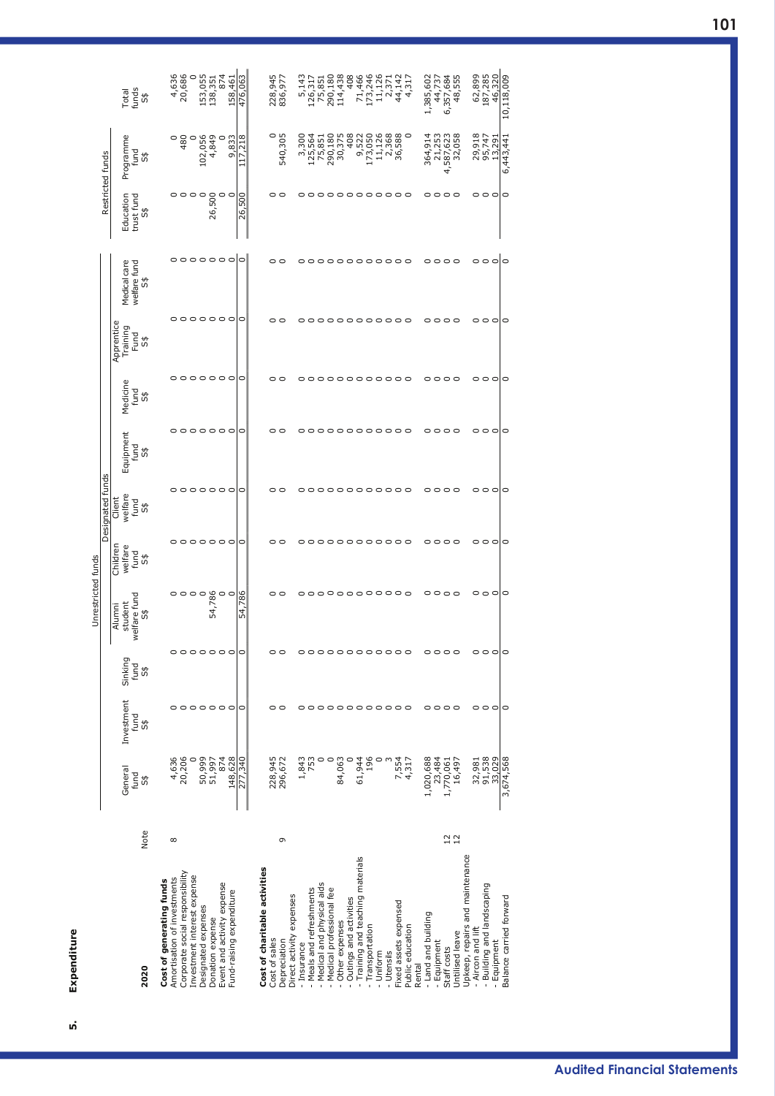| Ĺ |
|---|

<u>ທ່</u>

|                    | Total<br>funds<br>S\$                    | 476,063<br>153,055<br>874<br>4,636<br>20,686<br>138,351<br>158,461                                                                                                                                                             | 228,945<br>5,143<br>836,977                                                                               | 408<br>71,466<br>126,317<br>75,851<br>290,180<br>114,438<br>173,246<br>11,126<br>44,142<br>2,371<br>4,317                                                                                                                                                    | 62,899<br>187,285<br>10,118,009<br>48,555<br>46.320<br>1,385,602<br>6,357,684<br>44,737                                                                                                                    |
|--------------------|------------------------------------------|--------------------------------------------------------------------------------------------------------------------------------------------------------------------------------------------------------------------------------|-----------------------------------------------------------------------------------------------------------|--------------------------------------------------------------------------------------------------------------------------------------------------------------------------------------------------------------------------------------------------------------|------------------------------------------------------------------------------------------------------------------------------------------------------------------------------------------------------------|
| Restricted funds   | Programme<br>fund<br>SŞ                  | 102,056<br>4,849<br>480<br>9,833<br>117,218<br>0                                                                                                                                                                               | $\circ$<br>540,305                                                                                        | 2,368<br>36,588<br>408<br>173,050<br>11,126<br>3,300<br>125,564<br>75,851<br>290,180<br>9,522<br>30,375                                                                                                                                                      | 364,914<br>29,918<br>21,253<br>4,587,623<br>32,058<br>95,747<br>13,291<br>6,443,441                                                                                                                        |
|                    | Education<br>trust fund<br>S\$           | 26,500<br>0000<br>$\circ$<br>26,500                                                                                                                                                                                            | 00                                                                                                        | oooooooooooo                                                                                                                                                                                                                                                 | $\circ$<br>0000<br>$\circ \circ \circ$                                                                                                                                                                     |
|                    | Medical care<br>welfare fund<br>S\$      | 。。。。。。<br>o                                                                                                                                                                                                                    | 00                                                                                                        | o o o o o o o o o o o                                                                                                                                                                                                                                        | 0000<br>$\circ \circ \circ$<br>$\circ$                                                                                                                                                                     |
|                    | Apprentice<br>Training<br>Fund<br>S\$    | 0000000<br>$\circ$                                                                                                                                                                                                             | 00                                                                                                        | °°°°°°°°°°°                                                                                                                                                                                                                                                  | 0000<br>$\circ \circ \circ$<br>$\circ$                                                                                                                                                                     |
|                    | Medicine<br>fund<br>SŞ                   | 0000000<br>$\circ$                                                                                                                                                                                                             | 00                                                                                                        | 000000000000                                                                                                                                                                                                                                                 | $\circ \circ \circ$<br>000<br>$\circ$                                                                                                                                                                      |
|                    | Equipment<br>fund<br>S\$                 | 。。。。。。<br>$\circ$                                                                                                                                                                                                              | 00                                                                                                        | o o o o o o o o o o o                                                                                                                                                                                                                                        | 0000<br>$\circ \circ \circ$<br>$\circ$                                                                                                                                                                     |
| Designated funds   | welfare<br>Client<br>fund<br>S\$         | 。。。。。。。<br>$\circ$                                                                                                                                                                                                             | 00                                                                                                        | oooooooooooo                                                                                                                                                                                                                                                 | 0000<br>$\circ \circ \circ$<br>$\circ$                                                                                                                                                                     |
|                    | Children<br>welfare<br>fund<br>S\$       | 0000000<br>$\circ$                                                                                                                                                                                                             | $\circ$                                                                                                   | o o o o o o o o o o o                                                                                                                                                                                                                                        | 0000<br>$\circ \circ \circ$<br>$\circ$                                                                                                                                                                     |
| Unrestricted funds | welfare fund<br>student<br>Alumni<br>S\$ | 54,786                                                                                                                                                                                                                         | 00                                                                                                        | o o o o o o o o o o o                                                                                                                                                                                                                                        | 0000<br>$\circ \circ \circ$<br>$\circ$                                                                                                                                                                     |
|                    | Sinking<br>fund<br>S\$                   | 。。。。。。。<br>c                                                                                                                                                                                                                   | $\circ$                                                                                                   | ooooooooooo                                                                                                                                                                                                                                                  | $\circ$<br>0000<br>$\circ \circ \circ$                                                                                                                                                                     |
|                    | Investment<br>fund<br>S\$                | $\begin{array}{c} \circ \circ \circ \circ \circ \circ \circ \end{array}$<br>c                                                                                                                                                  | $\circ$<br>っ                                                                                              | 000000000<br>$\circ$                                                                                                                                                                                                                                         | $\circ$<br>$\circ$<br>$\circ$<br>000<br>$\circ$                                                                                                                                                            |
|                    | General<br>fund<br>S\$                   | 4,636<br>20,206<br>50,999<br>51,997<br>874<br>148,628<br>277,340                                                                                                                                                               | 228,945<br>296,672<br>1,843                                                                               | 196<br>7,554<br>4,317<br>753<br>84,063<br>61,944                                                                                                                                                                                                             | 1,020,688<br>91,538<br>33,029<br>3,674,568<br>23,484<br>16,497<br>1,770,061<br>32,981                                                                                                                      |
|                    | Note                                     | $\infty$                                                                                                                                                                                                                       | Ō                                                                                                         |                                                                                                                                                                                                                                                              | $12^{12}$                                                                                                                                                                                                  |
|                    | 2020                                     | Corporate social responsibility<br>investment interest expense<br>Amortisation of investments<br>Cost of generating funds<br>Event and activity expense<br>Fund-raising expenditure<br>Designated expenses<br>Donation expense | Cost of charitable activities<br>Direct activity expenses<br>Cost of sales<br>Depreciation<br>- Insurance | - Training and teaching materials<br>Medical and physical aids<br>Meals and refreshments<br>- Medical professional fee<br>- Outings and activities<br>Fixed assets expensed<br>Other expenses<br>Transportation<br>Public education<br>- Uniform<br>Utensils | Jpkeep, repairs and maintenance<br>- Building and landscaping<br>Balance carried forward<br>- Land and building<br>- Aircon and lift<br>Untilised leave<br>Equipment<br>Equipment<br>Staff costs<br>Rental |

**101**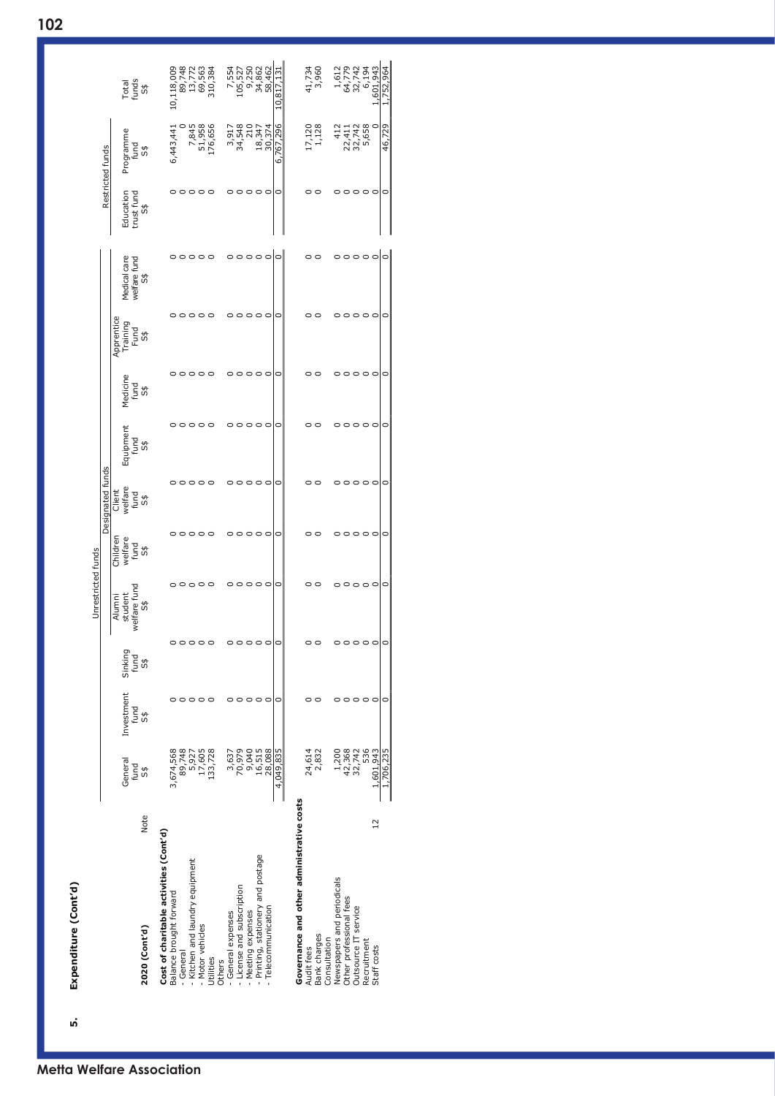|                    |                  | Total<br>funds<br>S\$             |                     |                                        | 10,118,009              |           | 89,748<br>13,772<br>69,563      |                  | 310,384                    |                    |                            |                        | 7,554<br>105,527<br>9,250<br>34,862 | 58,462              | 10,817.13 |                                           |            | 41,734<br>3,960              |                            | 1,612<br>64,779<br>32,742<br>6,194 |                      |                           | 1,601,943       | 1,752,964 |
|--------------------|------------------|-----------------------------------|---------------------|----------------------------------------|-------------------------|-----------|---------------------------------|------------------|----------------------------|--------------------|----------------------------|------------------------|-------------------------------------|---------------------|-----------|-------------------------------------------|------------|------------------------------|----------------------------|------------------------------------|----------------------|---------------------------|-----------------|-----------|
|                    | Restricted funds | Programme<br>fund<br>S\$          |                     |                                        | 6,443,441               |           |                                 |                  | 7,845<br>51,958<br>176,656 |                    |                            | 3,917<br>34,548<br>210 | 18,347                              | 30,374              | 6,767,296 |                                           |            | 7,120<br>1,128               | 412                        |                                    |                      | 22,411<br>32,742<br>5,658 | C               | 46,729    |
|                    |                  | Education<br>trust fund           | S\$                 |                                        |                         |           | $\circ \circ \circ \circ \circ$ |                  |                            |                    |                            |                        | 0000                                |                     | $\circ$   |                                           |            | $\circ$                      |                            |                                    |                      |                           | 00000           | $\circ$   |
|                    |                  | Medical care                      | welfare fund<br>S\$ |                                        |                         |           | $\circ \circ \circ$             |                  | $\circ$                    |                    |                            |                        | $\circ \circ \circ$                 |                     | 0         |                                           |            |                              |                            |                                    | $\circ$              | $\circ$                   |                 | 0         |
|                    |                  | Apprentice<br>Training<br>Fund    | S\$                 |                                        |                         |           | 00000                           |                  |                            |                    |                            |                        | 00000                               |                     | $\circ$   |                                           | 00         |                              |                            |                                    |                      |                           | 。。。。            | $\circ$   |
|                    |                  | Medicine<br>fund<br>S\$           |                     |                                        |                         |           | 0000                            |                  |                            | 0                  | $\circ$                    |                        | $\circ \circ \circ$                 |                     | $\circ$   |                                           |            | $\circ$                      |                            | 00000                              |                      |                           |                 | $\circ$   |
|                    |                  | Equipment                         | $\frac{1}{2}$ 35    |                                        |                         |           | 00000                           |                  |                            |                    |                            |                        | 00000                               |                     | $\circ$   |                                           | ○          | $\circ$                      |                            |                                    |                      |                           | 。。。。            | $\circ$   |
|                    | Designated funds | Client<br>welfare                 | fund<br>S\$         |                                        |                         |           | $\circ \circ \circ \circ$       |                  |                            | 0                  |                            |                        | 0000                                |                     | $\circ$   |                                           |            | $\circ$                      |                            | 00000                              |                      |                           |                 | $\circ$   |
|                    |                  | Children<br>welfare               | fund<br>S\$         |                                        |                         |           | 0000                            |                  |                            | 0                  |                            |                        | 0000                                |                     | $\circ$   |                                           | っ          | $\circ$                      |                            |                                    |                      |                           | 。。。。            | $\circ$   |
| Unrestricted funds |                  | welfare func<br>student<br>Alumni | \$Ş                 |                                        |                         |           | 00000                           |                  |                            |                    |                            |                        | 。。。。                                |                     | $\circ$   |                                           |            | $\circ$                      |                            | 。。。。                               |                      |                           |                 | $\circ$   |
|                    |                  | Sinking                           | $\frac{1}{5}$ \$    |                                        | 0                       |           | $\circ \circ \circ$             |                  | $\circ$                    | 0                  | $\circ$                    | $\circ$                | $\circ$                             | $\circ$             |           |                                           | $\circ$    | $\circ$                      | 0                          |                                    | $\circ$              | $\circ$                   | $\circ$         | $\circ$   |
|                    |                  | Investment                        | եր<br>5\$           |                                        |                         |           |                                 |                  | C                          |                    |                            | $\circ$                | $\circ$                             | C                   |           |                                           |            |                              |                            |                                    | $\circ$              | $\circ$                   | c               |           |
|                    |                  | General<br>fund                   | S\$                 |                                        | 3,674,568               |           | 89,748<br>5,927                 | 17,605           | 133,728                    | 3,637              | 70,979                     | 9,040                  | 16,515                              | 28,088              | 4,049,835 |                                           |            | 24,614<br>2,832              |                            | 1,200<br>42,368                    | 32,742               | 536                       | 1,601,943       | 1,706,235 |
|                    |                  |                                   | Note                |                                        |                         |           |                                 |                  |                            |                    |                            |                        |                                     |                     |           |                                           |            |                              |                            |                                    |                      |                           | $\overline{12}$ |           |
|                    |                  |                                   | 2020 (Cont'd)       | Cost of charitable activities (Cont'd) | Balance brought forward | - General | - Kitchen and laundry equipment | - Motor vehicles | Utilities<br><b>Others</b> | - General expenses | - License and subscription | Meeting expenses       | - Printing, stationery and postage  | - Telecommunication |           | Governance and other administrative costs | Audit fees | Bank charges<br>Consultation | Newspapers and periodicals | Other professional fees            | Outsource IT service | Recruitment               | Staff costs     |           |

**<sup>102</sup>**

Financial Year Ended 31 March 2020

5. Expenditure (Cont'd)

 $\dot{a}$ 

Expenditure (Cont'd)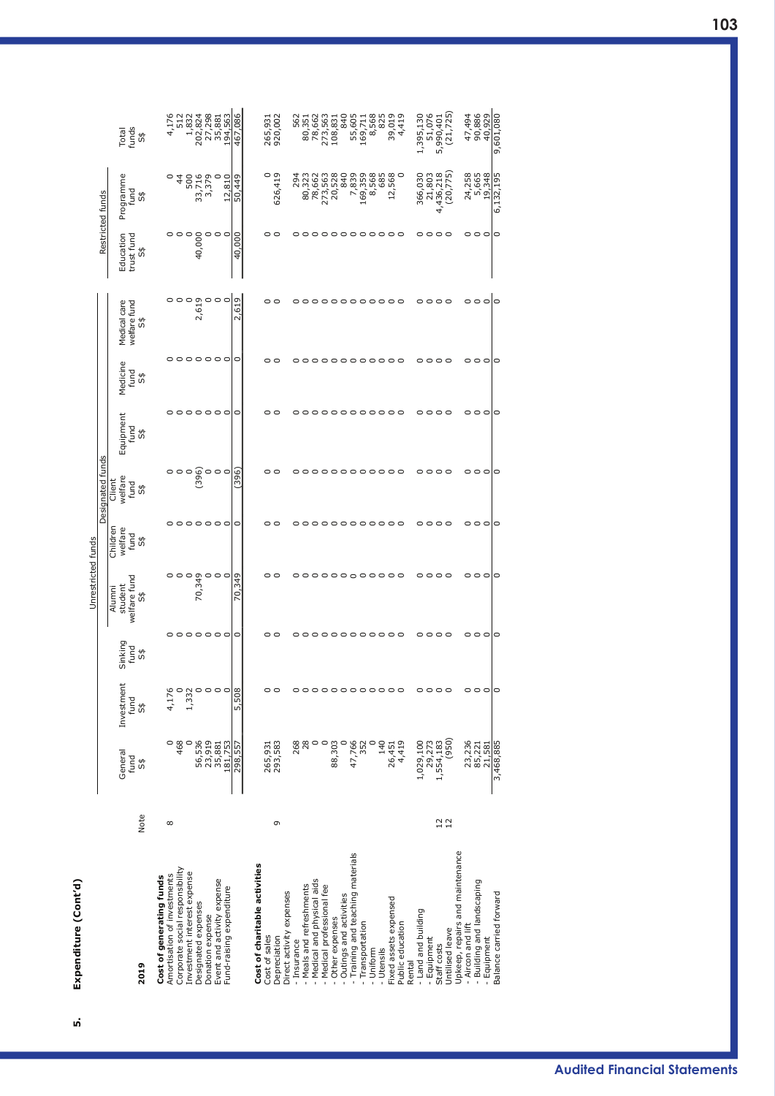| í |  |
|---|--|
|   |  |
| ų |  |

|                                                                |           |                               |                    |                     | Unrestricted funds                |                             |                           |                     |                       |                              |                         |                                            |                                               |
|----------------------------------------------------------------|-----------|-------------------------------|--------------------|---------------------|-----------------------------------|-----------------------------|---------------------------|---------------------|-----------------------|------------------------------|-------------------------|--------------------------------------------|-----------------------------------------------|
|                                                                |           |                               |                    |                     |                                   |                             | Designated funds          |                     |                       |                              |                         | Restricted funds                           |                                               |
|                                                                |           | General<br>fund               | Investment<br>fund | Sinking<br>fund     | welfare fund<br>student<br>Alumni | Children<br>welfare<br>fund | welfare<br>Client<br>fund | Equipment<br>fund   | Medicine<br>fund      | Medical care<br>welfare fund | Education<br>trust fund | Programme<br>fund                          | Total<br>funds<br>S\$                         |
| 2019                                                           | Note      | S\$                           | S\$                | S\$                 | S\$                               | SŞ                          | SŞ                        | S\$                 | S\$                   | \$S                          | S\$                     | \$\$                                       |                                               |
| Cost of generating funds                                       |           |                               |                    |                     |                                   |                             |                           |                     |                       |                              |                         |                                            |                                               |
| Amortisation of investments                                    | $\infty$  | 0                             | 4,176              |                     |                                   |                             |                           |                     |                       |                              |                         |                                            | 4,176                                         |
| Corporate social responsibility<br>Investment interest expense |           | 468<br>$\circ$                | 1,332              |                     | 000                               |                             | 000                       |                     |                       | 000                          | 000                     | 500<br>4                                   | 512                                           |
| Designated expenses                                            |           | 56,536                        |                    |                     | 70,349                            |                             | 396)                      |                     |                       | 2,619                        | 000<br>40.              |                                            | 1,832<br>202,824<br>27,298<br>35,881          |
| Donation expense                                               |           | 23,919                        |                    |                     | $\circ$                           |                             |                           |                     |                       |                              |                         | 33,716<br>3,379                            |                                               |
| Event and activity expense<br>Fund-raising expenditure         |           | 181,753<br>35,881             |                    | 0000000             | $\circ$                           | 。。。。。。                      | $\circ \circ \circ$       | 。。。。。。              | 。。。。。。                | $\circ \circ \circ$          | $\circ \circ \circ$     | 12,810                                     | 194,563                                       |
|                                                                |           | 298,557                       | 5,508              | 0                   | 349<br>70,                        | $\circ$                     | 396                       | 0                   | 0                     | G<br>2,61                    | 000<br>40,              | 50,449                                     | 467,086                                       |
| Cost of charitable activities                                  |           |                               |                    |                     |                                   |                             |                           |                     |                       |                              |                         |                                            |                                               |
| Cost of sales                                                  |           | 265,931                       |                    |                     | 00                                | 00                          | 00                        | 00                  |                       | 00                           | 00                      | 0                                          |                                               |
| Depreciation                                                   | Ō         | 293,583                       |                    | 00                  |                                   |                             |                           |                     | 00                    |                              |                         | 626,419                                    | 265,931<br>920,002                            |
| Direct activity expenses<br>- Insurance                        |           |                               |                    |                     |                                   |                             |                           |                     |                       |                              |                         | 294                                        |                                               |
| - Meals and refreshments                                       |           | 268<br>28                     |                    |                     |                                   |                             |                           |                     |                       |                              |                         |                                            |                                               |
| - Medical and physical aids                                    |           |                               |                    |                     |                                   |                             |                           |                     |                       |                              |                         | 80,323<br>78,662<br>273,563<br>20,528      | 562<br>80,351<br>78,562<br>273,563<br>108,831 |
| Medical professional fee                                       |           |                               |                    |                     |                                   |                             |                           |                     |                       |                              |                         |                                            |                                               |
| - Other expenses                                               |           | 88,303                        |                    |                     |                                   |                             |                           |                     |                       |                              |                         |                                            |                                               |
| Outings and activities                                         |           |                               |                    |                     |                                   |                             |                           |                     |                       |                              |                         | 840                                        | 840                                           |
| Training and teaching materials                                |           | 47,766                        |                    |                     |                                   |                             |                           |                     |                       |                              |                         | 7,839                                      | 55,605                                        |
| - Transportation                                               |           | 352                           |                    |                     |                                   |                             |                           |                     |                       |                              |                         | 169,359                                    | 169,71                                        |
| - Uniform                                                      |           |                               |                    |                     |                                   |                             |                           |                     |                       |                              |                         | 8,568                                      | 8,568<br>825                                  |
| - Utensils                                                     |           | 140                           |                    |                     |                                   |                             |                           |                     |                       |                              |                         | 685                                        |                                               |
| Fixed assets expensed                                          |           | 26,451                        |                    | ooooooooooo         | ooooooooooo                       | ooooooooooo                 | o o o o o o o o o o o     | °°°°°°°°°°°°        | o o o o o o o o o o o | oooooooooooo                 | °°°°°°°°°°°°            | 12,568                                     | 39,019                                        |
| Public education                                               |           | 4,419                         |                    |                     |                                   |                             |                           |                     |                       |                              |                         |                                            | 4,419                                         |
| - Land and building<br>Rental                                  |           | .029,100                      |                    |                     |                                   |                             |                           | 0                   |                       |                              |                         |                                            | 1,395,130                                     |
| - Equipment                                                    |           | 29,273                        |                    |                     |                                   |                             |                           |                     |                       |                              |                         |                                            | 51,076                                        |
| Staff costs                                                    |           | 1,554,183                     |                    |                     |                                   |                             |                           |                     |                       |                              |                         |                                            | 5,990,40                                      |
| <b>Jntilised</b> leave                                         | $12^{12}$ | (950)                         |                    | 0000                | 0000                              | 0000                        | 0000                      | $\circ \circ \circ$ | 0000                  | 0000                         | 0000                    | 366,030<br>21,803<br>4,436,218<br>(20,775) | (21, 725)                                     |
| Upkeep, repairs and maintenance                                |           |                               |                    |                     |                                   |                             |                           |                     |                       |                              |                         |                                            |                                               |
| - Aircon and lift                                              |           | 23,236                        |                    |                     |                                   |                             |                           |                     |                       |                              |                         |                                            |                                               |
| - Building and landscaping                                     |           |                               |                    |                     |                                   |                             |                           |                     | 000                   |                              |                         |                                            | 47,494<br>90,886                              |
| - Equipment                                                    |           | 85,221<br>21,581<br>3,468,885 |                    | $\circ \circ \circ$ | 000                               | $\circ \circ \circ$         | $\circ \circ \circ$       | 000                 |                       | 000                          | 000                     | 24,258<br>5,665<br>19,348                  | 40,929                                        |
| Balance carried forward                                        |           |                               |                    | $\circ$             | 0                                 | $\circ$                     | $\circ$                   | $\circ$             | 0                     |                              | 0                       | 6,132,195                                  | 9,601,080                                     |

**Audited Financial Statements**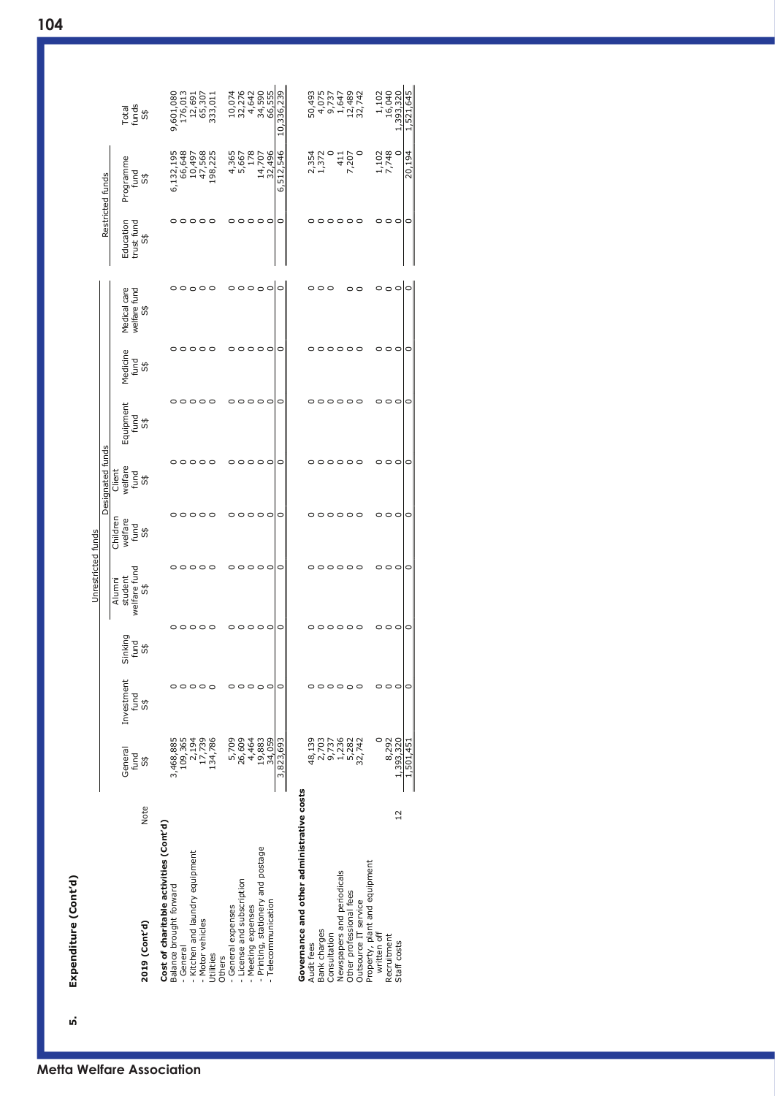Expenditure (Cont'd) 5. Expenditure (Cont'd)

ທ່

**Metta Welfare Association**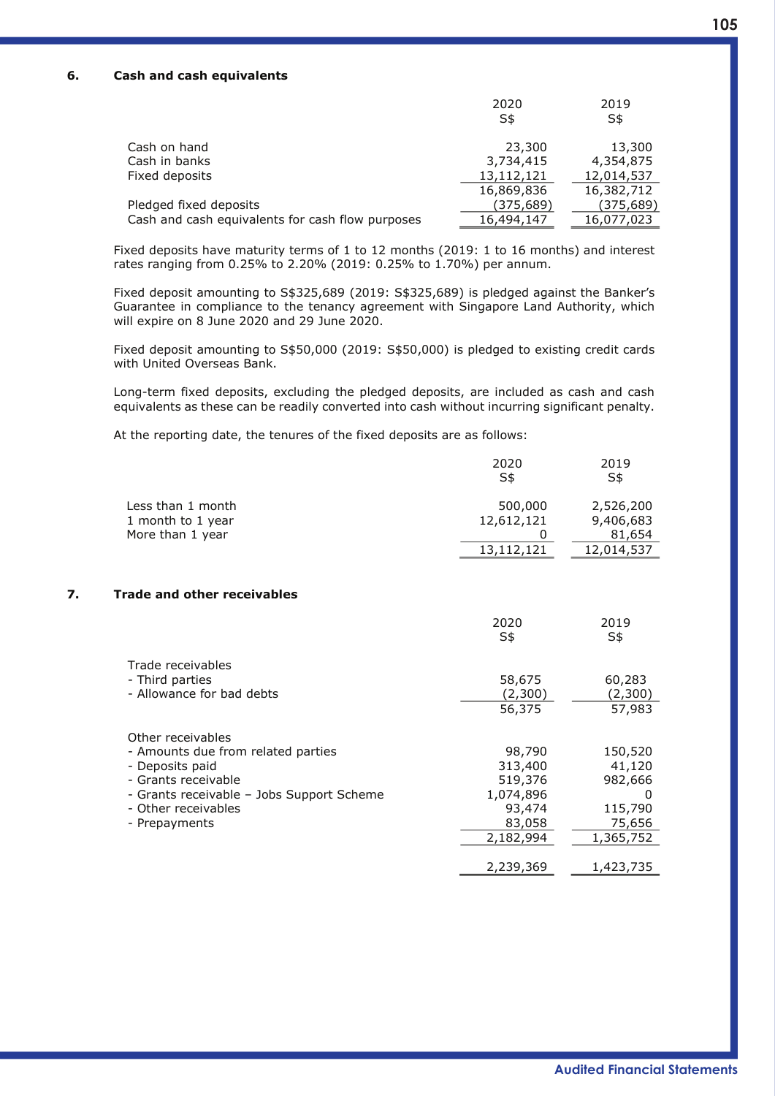# 6. Cash and cash equivalents

|                                                  | 2020       | 2019       |
|--------------------------------------------------|------------|------------|
|                                                  | S\$        | S\$        |
| Cash on hand                                     | 23,300     | 13,300     |
| Cash in banks                                    | 3,734,415  | 4,354,875  |
| Fixed deposits                                   | 13,112,121 | 12,014,537 |
|                                                  | 16,869,836 | 16,382,712 |
| Pledged fixed deposits                           | (375,689)  | (375,689)  |
| Cash and cash equivalents for cash flow purposes | 16,494,147 | 16,077,023 |

Fixed deposits have maturity terms of 1 to 12 months (2019: 1 to 16 months) and interest rates ranging from 0.25% to 2.20% (2019: 0.25% to 1.70%) per annum.

Fixed deposit amounting to S\$325,689 (2019: S\$325,689) is pledged against the Banker's Guarantee in compliance to the tenancy agreement with Singapore Land Authority, which will expire on 8 June 2020 and 29 June 2020.

Fixed deposit amounting to S\$50,000 (2019: S\$50,000) is pledged to existing credit cards with United Overseas Bank.

Long-term fixed deposits, excluding the pledged deposits, are included as cash and cash equivalents as these can be readily converted into cash without incurring significant penalty.

At the reporting date, the tenures of the fixed deposits are as follows:

|    |                                                                                                                                                                                        | 2020<br>$S\$                                                               | 2019<br>$S\$                                                        |
|----|----------------------------------------------------------------------------------------------------------------------------------------------------------------------------------------|----------------------------------------------------------------------------|---------------------------------------------------------------------|
|    | Less than 1 month<br>1 month to 1 year<br>More than 1 year                                                                                                                             | 500,000<br>12,612,121<br>0<br>13,112,121                                   | 2,526,200<br>9,406,683<br>81,654<br>12,014,537                      |
| 7. | <b>Trade and other receivables</b>                                                                                                                                                     |                                                                            |                                                                     |
|    |                                                                                                                                                                                        | 2020<br>S <sup>4</sup>                                                     | 2019<br>S <sub>5</sub>                                              |
|    | Trade receivables<br>- Third parties<br>- Allowance for bad debts                                                                                                                      | 58,675<br>(2,300)<br>56,375                                                | 60,283<br>(2,300)<br>57,983                                         |
|    | Other receivables<br>- Amounts due from related parties<br>- Deposits paid<br>- Grants receivable<br>- Grants receivable - Jobs Support Scheme<br>- Other receivables<br>- Prepayments | 98,790<br>313,400<br>519,376<br>1,074,896<br>93,474<br>83,058<br>2,182,994 | 150,520<br>41,120<br>982,666<br>0<br>115,790<br>75,656<br>1,365,752 |
|    |                                                                                                                                                                                        | 2,239,369                                                                  | 1,423,735                                                           |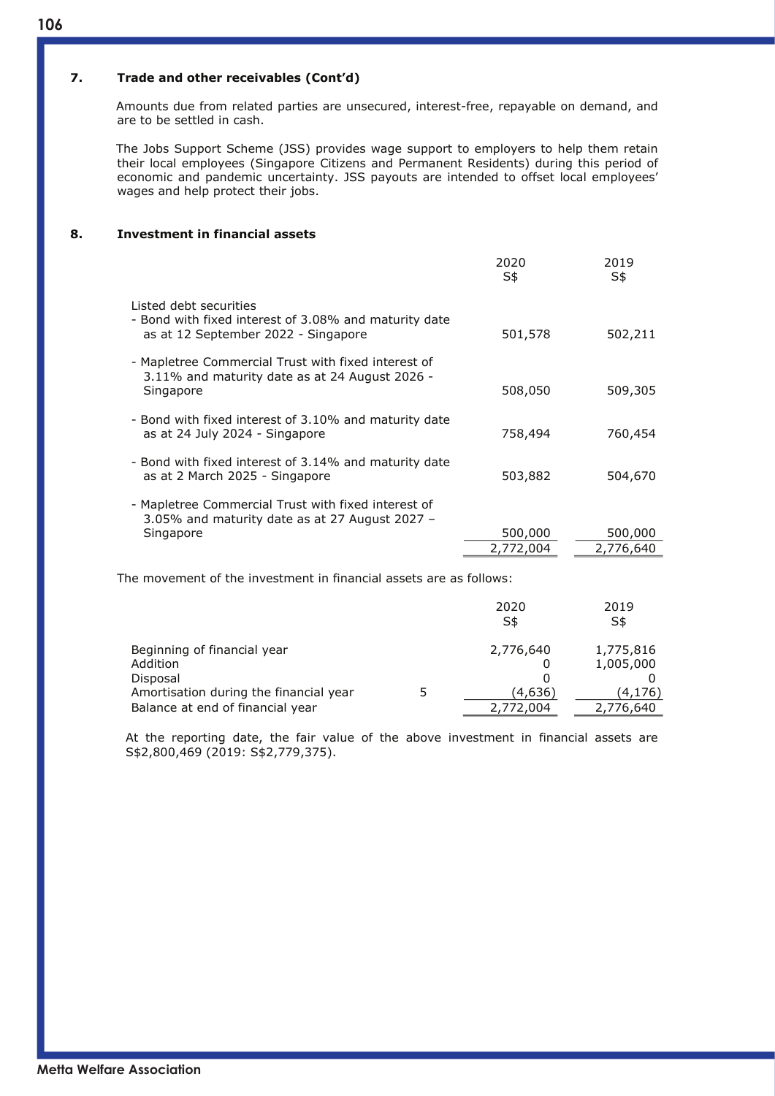# 7. Trade and other receivables (Cont'd)

Amounts due from related parties are unsecured, interest-free, repayable on demand, and are to be settled in cash.

Financial Year Ended 31 March 2020

The Jobs Support Scheme (JSS) provides wage support to employers to help them retain their local employees (Singapore Citizens and Permanent Residents) during this period of economic and pandemic uncertainty. JSS payouts are intended to offset local employees' wages and help protect their jobs.

# 8. Investment in financial assets

|                                                                                                                        | 2020<br>S\$ | 2019<br>S\$ |
|------------------------------------------------------------------------------------------------------------------------|-------------|-------------|
| Listed debt securities<br>- Bond with fixed interest of 3.08% and maturity date<br>as at 12 September 2022 - Singapore | 501,578     | 502,211     |
| - Mapletree Commercial Trust with fixed interest of<br>3.11% and maturity date as at 24 August 2026 -<br>Singapore     | 508,050     | 509,305     |
| - Bond with fixed interest of 3.10% and maturity date<br>as at 24 July 2024 - Singapore                                | 758,494     | 760,454     |
| - Bond with fixed interest of 3.14% and maturity date<br>as at 2 March 2025 - Singapore                                | 503,882     | 504,670     |
| - Mapletree Commercial Trust with fixed interest of<br>3.05% and maturity date as at 27 August 2027 $-$<br>Singapore   | 500,000     | 500,000     |
|                                                                                                                        | 2,772,004   | 2,776,640   |

The movement of the investment in financial assets are as follows:

|                                                                                                                                   | 2020<br>S\$                            | 2019<br>S\$                                    |
|-----------------------------------------------------------------------------------------------------------------------------------|----------------------------------------|------------------------------------------------|
| Beginning of financial year<br>Addition<br>Disposal<br>Amortisation during the financial year<br>Balance at end of financial year | 2,776,640<br>0<br>(4,636)<br>2,772,004 | 1,775,816<br>1,005,000<br>(4,176)<br>2,776,640 |

At the reporting date, the fair value of the above investment in financial assets are S\$2,800,469 (2019: S\$2,779,375).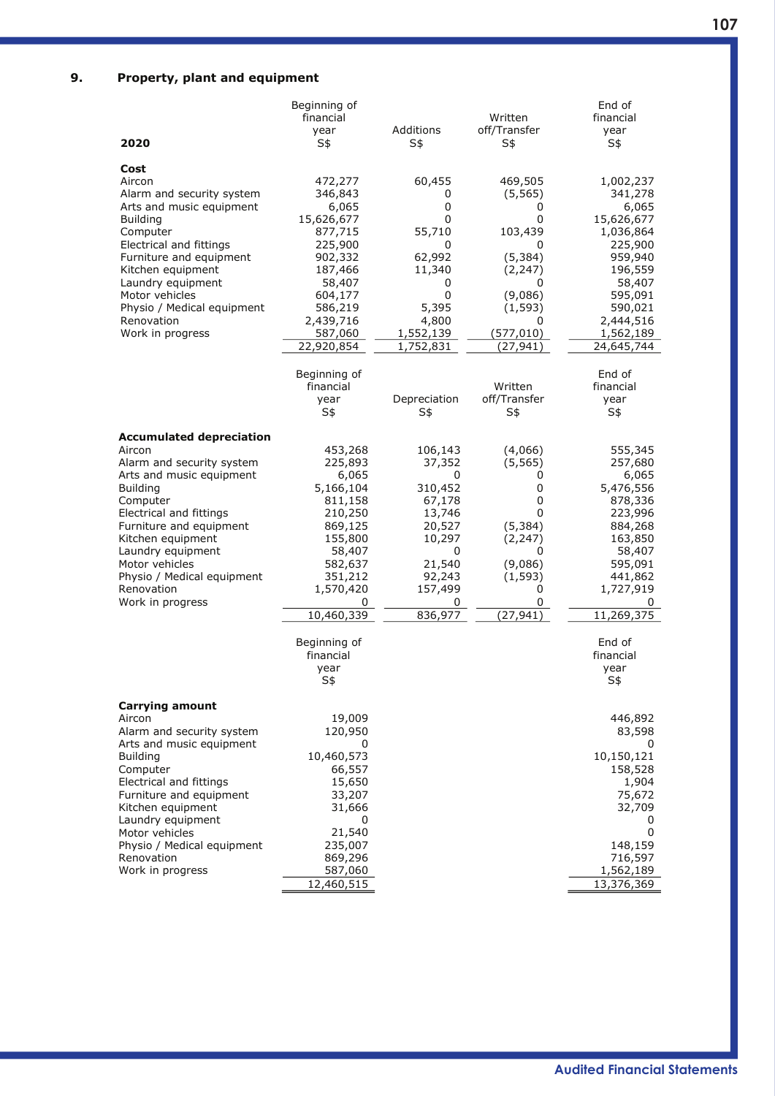# 9. Property, plant and equipment

|                                                       | Beginning of<br>financial<br>year | Additions        | Written<br>off/Transfer | End of<br>financial<br>year |
|-------------------------------------------------------|-----------------------------------|------------------|-------------------------|-----------------------------|
| 2020                                                  | S <sub>5</sub>                    | S\$              | S\$                     | S <sub>5</sub>              |
| Cost<br>Aircon                                        | 472,277                           | 60,455           | 469,505                 | 1,002,237                   |
| Alarm and security system                             | 346,843                           | 0                | (5, 565)                | 341,278                     |
| Arts and music equipment<br><b>Building</b>           | 6,065<br>15,626,677               | 0<br>0           | 0<br>0                  | 6,065<br>15,626,677         |
| Computer                                              | 877,715                           | 55,710           | 103,439                 | 1,036,864                   |
| Electrical and fittings                               | 225,900                           | 0                | 0                       | 225,900                     |
| Furniture and equipment<br>Kitchen equipment          | 902,332<br>187,466                | 62,992<br>11,340 | (5, 384)<br>(2, 247)    | 959,940<br>196,559          |
| Laundry equipment                                     | 58,407                            | 0                | 0                       | 58,407                      |
| Motor vehicles                                        | 604,177<br>586,219                | 0<br>5,395       | (9,086)                 | 595,091<br>590,021          |
| Physio / Medical equipment<br>Renovation              | 2,439,716                         | 4,800            | (1, 593)<br>0           | 2,444,516                   |
| Work in progress                                      | 587,060                           | 1,552,139        | (577,010)               | 1,562,189                   |
|                                                       | 22,920,854                        | 1,752,831        | (27, 941)               | 24,645,744                  |
|                                                       | Beginning of<br>financial         |                  | Written                 | End of<br>financial         |
|                                                       | year                              | Depreciation     | off/Transfer            | year                        |
|                                                       | S\$                               | S\$              | S\$                     | S\$                         |
| <b>Accumulated depreciation</b>                       |                                   |                  |                         |                             |
| Aircon                                                | 453,268                           | 106,143          | (4,066)                 | 555,345                     |
| Alarm and security system<br>Arts and music equipment | 225,893<br>6,065                  | 37,352<br>0      | (5, 565)<br>0           | 257,680<br>6,065            |
| <b>Building</b>                                       | 5,166,104                         | 310,452          | 0                       | 5,476,556                   |
| Computer<br>Electrical and fittings                   | 811,158<br>210,250                | 67,178<br>13,746 | 0<br>0                  | 878,336<br>223,996          |
| Furniture and equipment                               | 869,125                           | 20,527           | (5, 384)                | 884,268                     |
| Kitchen equipment                                     | 155,800                           | 10,297           | (2, 247)                | 163,850                     |
| Laundry equipment<br>Motor vehicles                   | 58,407<br>582,637                 | 0<br>21,540      | 0<br>(9,086)            | 58,407<br>595,091           |
| Physio / Medical equipment                            | 351,212                           | 92,243           | (1, 593)                | 441,862                     |
| Renovation<br>Work in progress                        | 1,570,420<br>0                    | 157,499<br>0     | 0<br>0                  | 1,727,919<br>0              |
|                                                       | 10,460,339                        | 836,977          | (27,941)                | 11,269,375                  |
|                                                       | Beginning of                      |                  |                         | End of                      |
|                                                       | financial                         |                  |                         | financial                   |
|                                                       | year<br>S\$                       |                  |                         | year<br>S\$                 |
|                                                       |                                   |                  |                         |                             |
| <b>Carrying amount</b><br>Aircon                      | 19,009                            |                  |                         | 446,892                     |
| Alarm and security system                             | 120,950                           |                  |                         | 83,598                      |
| Arts and music equipment<br><b>Building</b>           | 0<br>10,460,573                   |                  |                         | 0<br>10,150,121             |
| Computer                                              | 66,557                            |                  |                         | 158,528                     |
| Electrical and fittings                               | 15,650                            |                  |                         | 1,904                       |
| Furniture and equipment<br>Kitchen equipment          | 33,207<br>31,666                  |                  |                         | 75,672<br>32,709            |
| Laundry equipment                                     | 0                                 |                  |                         | 0                           |
| Motor vehicles                                        | 21,540                            |                  |                         | 0                           |
| Physio / Medical equipment<br>Renovation              | 235,007<br>869,296                |                  |                         | 148,159<br>716,597          |
| Work in progress                                      | 587,060                           |                  |                         | 1,562,189                   |
|                                                       | 12,460,515                        |                  |                         | 13,376,369                  |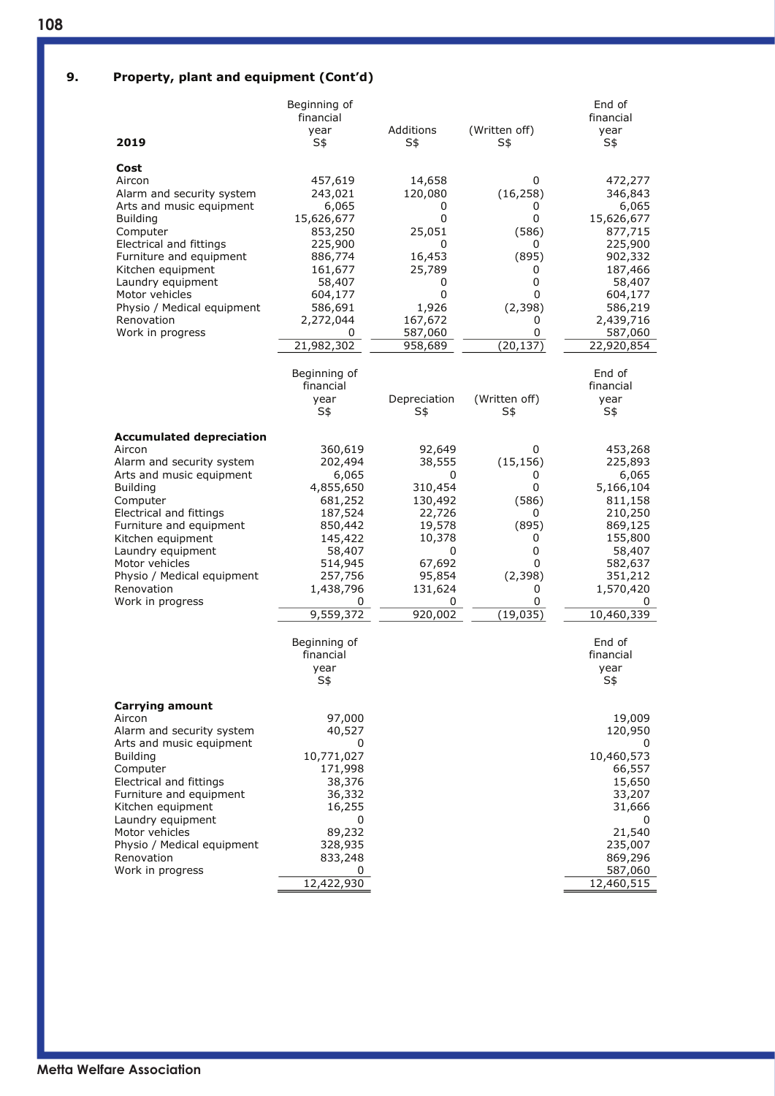# **108**

# 9. Property, plant and equipment (Cont'd)

| 2019                                                                                                                                                                                                                                                                                                                | Beginning of<br>financial<br>year<br>S\$                                                                                                                                                        | Additions<br>S <sub>5</sub>                                                                                                   | (Written off)<br>S <sub>5</sub>                                                                  | End of<br>financial<br>year<br>S <sub>5</sub>                                                                                                                                              |
|---------------------------------------------------------------------------------------------------------------------------------------------------------------------------------------------------------------------------------------------------------------------------------------------------------------------|-------------------------------------------------------------------------------------------------------------------------------------------------------------------------------------------------|-------------------------------------------------------------------------------------------------------------------------------|--------------------------------------------------------------------------------------------------|--------------------------------------------------------------------------------------------------------------------------------------------------------------------------------------------|
| Cost<br>Aircon<br>Alarm and security system<br>Arts and music equipment<br><b>Building</b><br>Computer<br>Electrical and fittings<br>Furniture and equipment<br>Kitchen equipment<br>Laundry equipment<br>Motor vehicles<br>Physio / Medical equipment<br>Renovation<br>Work in progress                            | 457,619<br>243,021<br>6,065<br>15,626,677<br>853,250<br>225,900<br>886,774<br>161,677<br>58,407<br>604,177<br>586,691<br>2,272,044<br>0<br>21,982,302                                           | 14,658<br>120,080<br>0<br>0<br>25,051<br>0<br>16,453<br>25,789<br>0<br>0<br>1,926<br>167,672<br>587,060<br>958,689            | 0<br>(16, 258)<br>0<br>0<br>(586)<br>0<br>(895)<br>0<br>0<br>0<br>(2,398)<br>0<br>0<br>(20,137)  | 472,277<br>346,843<br>6,065<br>15,626,677<br>877,715<br>225,900<br>902,332<br>187,466<br>58,407<br>604,177<br>586,219<br>2,439,716<br>587,060<br>22,920,854                                |
|                                                                                                                                                                                                                                                                                                                     | Beginning of<br>financial<br>year<br>S <sub>5</sub>                                                                                                                                             | Depreciation<br>S <sub>5</sub>                                                                                                | (Written off)<br>S <sub>5</sub>                                                                  | End of<br>financial<br>year<br>S <sub>5</sub>                                                                                                                                              |
| <b>Accumulated depreciation</b><br>Aircon<br>Alarm and security system<br>Arts and music equipment<br><b>Building</b><br>Computer<br>Electrical and fittings<br>Furniture and equipment<br>Kitchen equipment<br>Laundry equipment<br>Motor vehicles<br>Physio / Medical equipment<br>Renovation<br>Work in progress | 360,619<br>202,494<br>6,065<br>4,855,650<br>681,252<br>187,524<br>850,442<br>145,422<br>58,407<br>514,945<br>257,756<br>1,438,796<br>0<br>9,559,372<br>Beginning of<br>financial<br>year<br>S\$ | 92,649<br>38,555<br>0<br>310,454<br>130,492<br>22,726<br>19,578<br>10,378<br>0<br>67,692<br>95,854<br>131,624<br>0<br>920,002 | 0<br>(15, 156)<br>0<br>0<br>(586)<br>0<br>(895)<br>0<br>0<br>0<br>(2,398)<br>0<br>0<br>(19, 035) | 453,268<br>225,893<br>6,065<br>5,166,104<br>811,158<br>210,250<br>869,125<br>155,800<br>58,407<br>582,637<br>351,212<br>1,570,420<br>0<br>10,460,339<br>End of<br>financial<br>year<br>S\$ |
| <b>Carrying amount</b><br>Aircon<br>Alarm and security system<br>Arts and music equipment<br><b>Building</b><br>Computer<br>Electrical and fittings<br>Furniture and equipment<br>Kitchen equipment<br>Laundry equipment<br>Motor vehicles<br>Physio / Medical equipment<br>Renovation<br>Work in progress          | 97,000<br>40,527<br>0<br>10,771,027<br>171,998<br>38,376<br>36,332<br>16,255<br>0<br>89,232<br>328,935<br>833,248<br>0<br>12,422,930                                                            |                                                                                                                               |                                                                                                  | 19,009<br>120,950<br>0<br>10,460,573<br>66,557<br>15,650<br>33,207<br>31,666<br>0<br>21,540<br>235,007<br>869,296<br>587,060<br>12,460,515                                                 |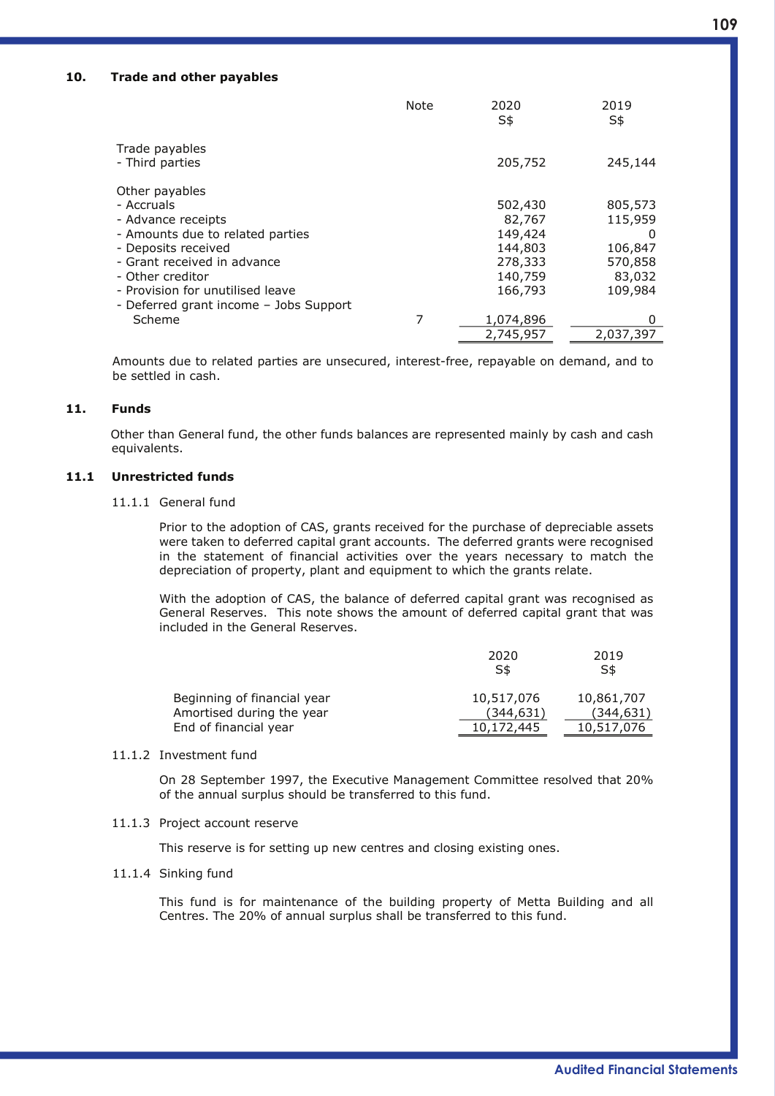# 10. Trade and other payables

|                                                                                                                                                                                                                                                | Note | 2020<br>S\$                                                              | 2019<br>S\$                                                        |
|------------------------------------------------------------------------------------------------------------------------------------------------------------------------------------------------------------------------------------------------|------|--------------------------------------------------------------------------|--------------------------------------------------------------------|
| Trade payables<br>- Third parties                                                                                                                                                                                                              |      | 205,752                                                                  | 245,144                                                            |
| Other payables<br>- Accruals<br>- Advance receipts<br>- Amounts due to related parties<br>- Deposits received<br>- Grant received in advance<br>- Other creditor<br>- Provision for unutilised leave<br>- Deferred grant income - Jobs Support |      | 502,430<br>82,767<br>149,424<br>144,803<br>278,333<br>140,759<br>166,793 | 805,573<br>115,959<br>O<br>106,847<br>570,858<br>83,032<br>109,984 |
| Scheme                                                                                                                                                                                                                                         | 7    | 1,074,896                                                                | 0                                                                  |
|                                                                                                                                                                                                                                                |      | 2,745,957                                                                | 2,037,397                                                          |

Amounts due to related parties are unsecured, interest-free, repayable on demand, and to be settled in cash.

# 11. Funds

 Other than General fund, the other funds balances are represented mainly by cash and cash equivalents.

# 11.1 Unrestricted funds

# 11.1.1 General fund

Prior to the adoption of CAS, grants received for the purchase of depreciable assets were taken to deferred capital grant accounts. The deferred grants were recognised in the statement of financial activities over the years necessary to match the depreciation of property, plant and equipment to which the grants relate.

With the adoption of CAS, the balance of deferred capital grant was recognised as General Reserves. This note shows the amount of deferred capital grant that was included in the General Reserves.

|                                                          | 2020<br>S\$              | 2019<br>S\$              |
|----------------------------------------------------------|--------------------------|--------------------------|
| Beginning of financial year<br>Amortised during the year | 10,517,076<br>(344, 631) | 10,861,707<br>(344, 631) |
| End of financial year                                    | 10,172,445               | 10,517,076               |

# 11.1.2 Investment fund

On 28 September 1997, the Executive Management Committee resolved that 20% of the annual surplus should be transferred to this fund.

# 11.1.3 Project account reserve

This reserve is for setting up new centres and closing existing ones.

# 11.1.4 Sinking fund

This fund is for maintenance of the building property of Metta Building and all Centres. The 20% of annual surplus shall be transferred to this fund.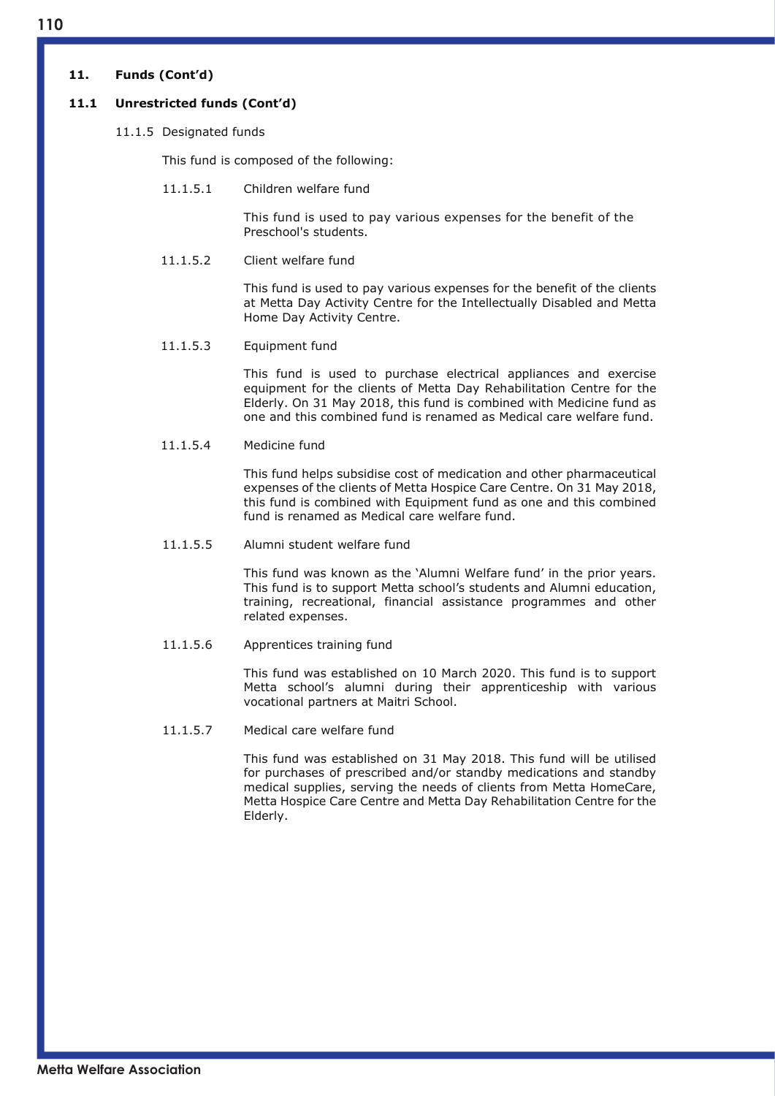# 11. Funds (Cont'd)

# 11.1 Unrestricted funds (Cont'd)

11.1.5 Designated funds

This fund is composed of the following:

11.1.5.1 Children welfare fund

This fund is used to pay various expenses for the benefit of the Preschool's students.

Financial Year Ended 31 March 2020

11.1.5.2 Client welfare fund

This fund is used to pay various expenses for the benefit of the clients at Metta Day Activity Centre for the Intellectually Disabled and Metta Home Day Activity Centre.

# 11.1.5.3 Equipment fund

This fund is used to purchase electrical appliances and exercise equipment for the clients of Metta Day Rehabilitation Centre for the Elderly. On 31 May 2018, this fund is combined with Medicine fund as one and this combined fund is renamed as Medical care welfare fund.

# 11.1.5.4 Medicine fund

This fund helps subsidise cost of medication and other pharmaceutical expenses of the clients of Metta Hospice Care Centre. On 31 May 2018, this fund is combined with Equipment fund as one and this combined fund is renamed as Medical care welfare fund.

11.1.5.5 Alumni student welfare fund

This fund was known as the 'Alumni Welfare fund' in the prior years. This fund is to support Metta school's students and Alumni education, training, recreational, financial assistance programmes and other related expenses.

# 11.1.5.6 Apprentices training fund

This fund was established on 10 March 2020. This fund is to support Metta school's alumni during their apprenticeship with various vocational partners at Maitri School.

# 11.1.5.7 Medical care welfare fund

This fund was established on 31 May 2018. This fund will be utilised for purchases of prescribed and/or standby medications and standby medical supplies, serving the needs of clients from Metta HomeCare, Metta Hospice Care Centre and Metta Day Rehabilitation Centre for the Elderly.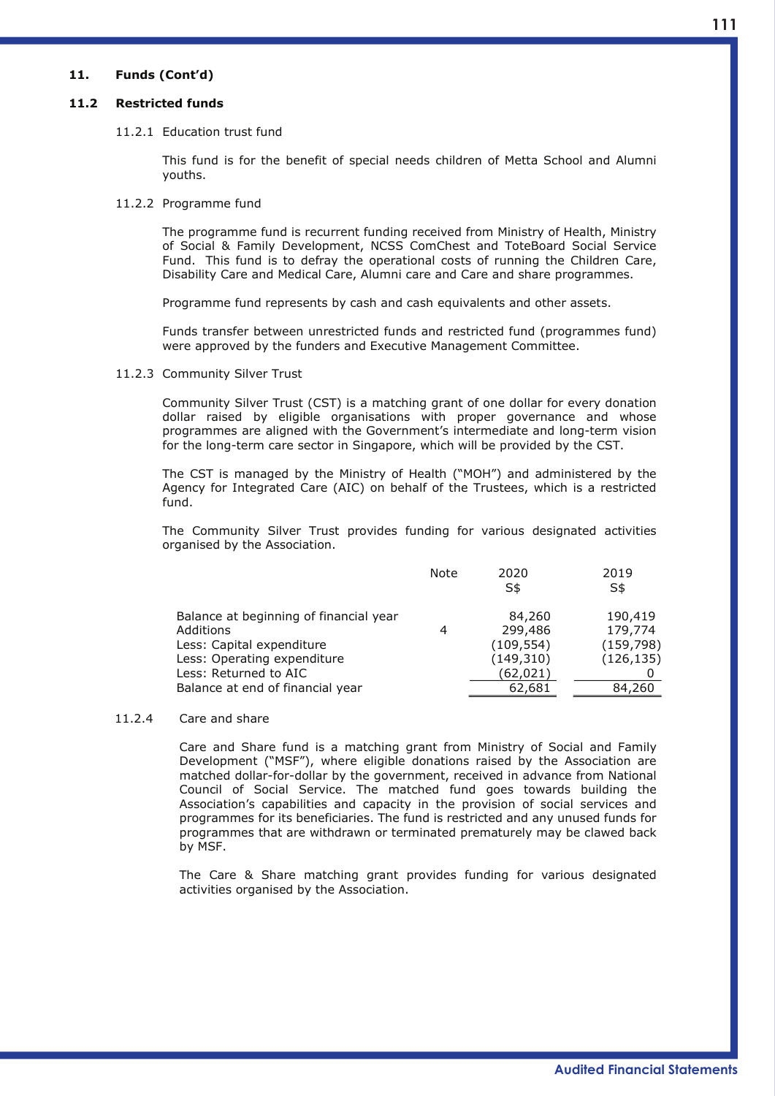# 11. Funds (Cont'd)

# 11.2 Restricted funds

# 11.2.1 Education trust fund

This fund is for the benefit of special needs children of Metta School and Alumni youths.

# 11.2.2 Programme fund

The programme fund is recurrent funding received from Ministry of Health, Ministry of Social & Family Development, NCSS ComChest and ToteBoard Social Service Fund. This fund is to defray the operational costs of running the Children Care, Disability Care and Medical Care, Alumni care and Care and share programmes.

Programme fund represents by cash and cash equivalents and other assets.

Funds transfer between unrestricted funds and restricted fund (programmes fund) were approved by the funders and Executive Management Committee.

11.2.3 Community Silver Trust

Community Silver Trust (CST) is a matching grant of one dollar for every donation dollar raised by eligible organisations with proper governance and whose programmes are aligned with the Government's intermediate and long-term vision for the long-term care sector in Singapore, which will be provided by the CST.

The CST is managed by the Ministry of Health ("MOH") and administered by the Agency for Integrated Care (AIC) on behalf of the Trustees, which is a restricted fund.

The Community Silver Trust provides funding for various designated activities organised by the Association.

|                                        | Note | 2020       | 2019       |
|----------------------------------------|------|------------|------------|
|                                        |      | S\$        | S\$        |
| Balance at beginning of financial year |      | 84,260     | 190,419    |
| Additions                              | 4    | 299,486    | 179,774    |
| Less: Capital expenditure              |      | (109, 554) | (159, 798) |
| Less: Operating expenditure            |      | (149, 310) | (126, 135) |
| Less: Returned to AIC                  |      | (62,021)   |            |
| Balance at end of financial year       |      | 62,681     | 84,260     |

# 11.2.4 Care and share

Care and Share fund is a matching grant from Ministry of Social and Family Development ("MSF"), where eligible donations raised by the Association are matched dollar-for-dollar by the government, received in advance from National Council of Social Service. The matched fund goes towards building the Association's capabilities and capacity in the provision of social services and programmes for its beneficiaries. The fund is restricted and any unused funds for programmes that are withdrawn or terminated prematurely may be clawed back by MSF.

The Care & Share matching grant provides funding for various designated activities organised by the Association.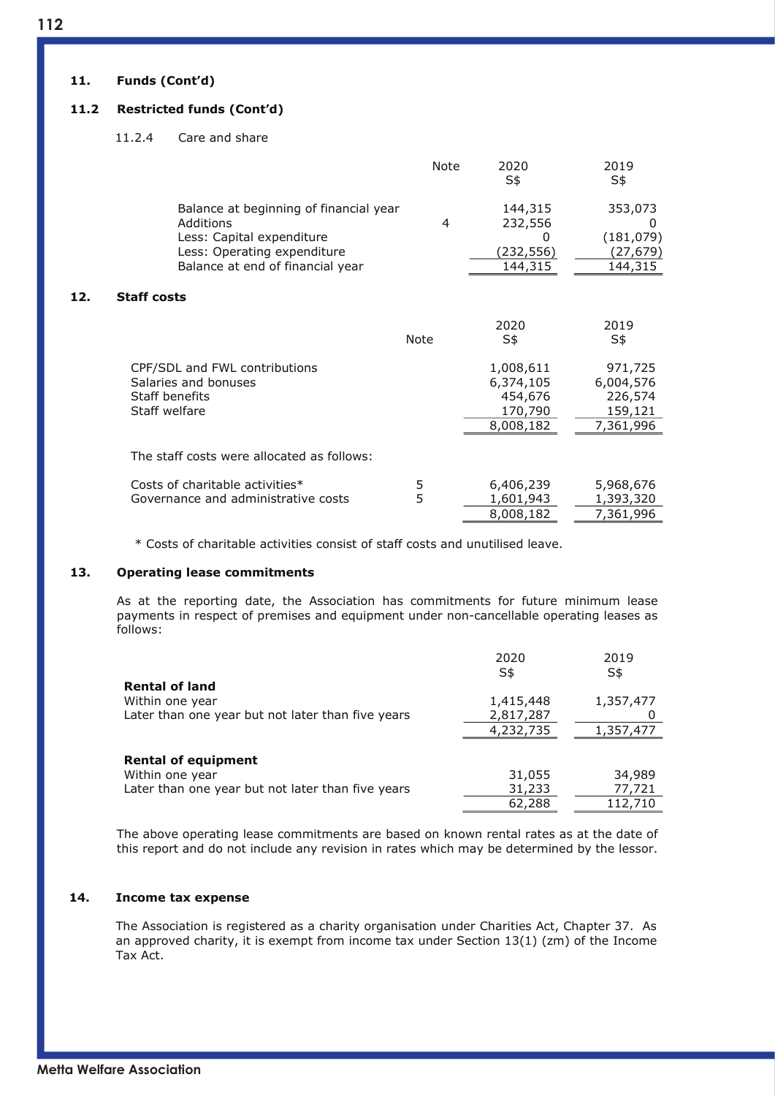# 11. Funds (Cont'd)

# 11.2 Restricted funds (Cont'd)

11.2.4 Care and share

|     |                                                                                                                                                     | <b>Note</b> | 2020<br>S\$                                               | 2019<br>S\$                                             |
|-----|-----------------------------------------------------------------------------------------------------------------------------------------------------|-------------|-----------------------------------------------------------|---------------------------------------------------------|
|     | Balance at beginning of financial year<br>Additions<br>Less: Capital expenditure<br>Less: Operating expenditure<br>Balance at end of financial year | 4           | 144,315<br>232,556<br>0<br>(232, 556)<br>144,315          | 353,073<br>(181, 079)<br>(27, 679)<br>144,315           |
| 12. | <b>Staff costs</b>                                                                                                                                  |             |                                                           |                                                         |
|     |                                                                                                                                                     | Note        | 2020<br>S\$                                               | 2019<br>$S\$                                            |
|     | CPF/SDL and FWL contributions<br>Salaries and bonuses<br>Staff benefits<br>Staff welfare                                                            |             | 1,008,611<br>6,374,105<br>454,676<br>170,790<br>8,008,182 | 971,725<br>6,004,576<br>226,574<br>159,121<br>7,361,996 |
|     | The staff costs were allocated as follows:                                                                                                          |             |                                                           |                                                         |
|     | Costs of charitable activities*<br>Governance and administrative costs                                                                              | 5<br>5      | 6,406,239<br>1,601,943<br>8,008,182                       | 5,968,676<br>1,393,320<br>7,361,996                     |

Financial Year Ended 31 March 2020

\* Costs of charitable activities consist of staff costs and unutilised leave.

# 13. Operating lease commitments

As at the reporting date, the Association has commitments for future minimum lease payments in respect of premises and equipment under non-cancellable operating leases as follows:

| <b>Rental of land</b>                                                | 2020<br>S\$            | 2019<br>S\$      |
|----------------------------------------------------------------------|------------------------|------------------|
| Within one year<br>Later than one year but not later than five years | 1,415,448<br>2,817,287 | 1,357,477        |
|                                                                      | 4,232,735              | 1,357,477        |
| <b>Rental of equipment</b>                                           |                        |                  |
| Within one year<br>Later than one year but not later than five years | 31,055<br>31,233       | 34,989<br>77,721 |
|                                                                      | 62,288                 | 112,710          |

The above operating lease commitments are based on known rental rates as at the date of this report and do not include any revision in rates which may be determined by the lessor. Final Year Ended 31 March 2020 West

# 14. Income tax expense

The Association is registered as a charity organisation under Charities Act, Chapter 37. As an approved charity, it is exempt from income tax under Section  $13(1)$  (zm) of the Income Tax Act.

2020 2019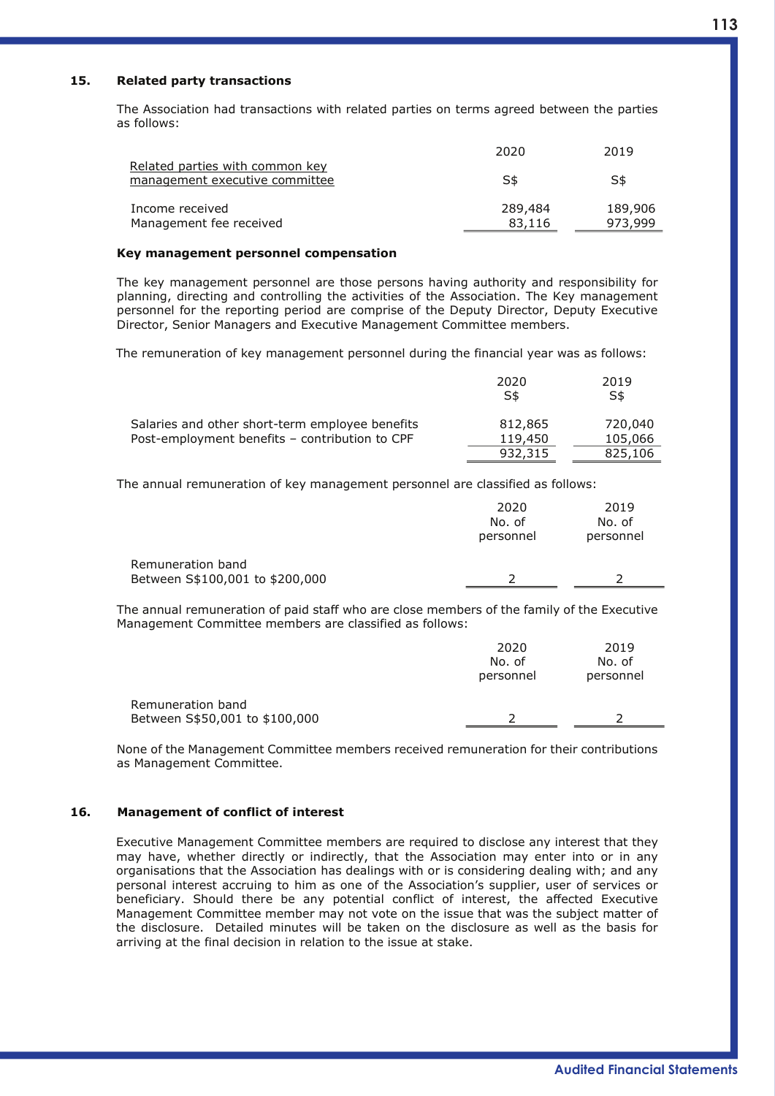# 15. Related party transactions

Tax Act.

The Association had transactions with related parties on terms agreed between the parties as follows:

| 2020              | 2019               |
|-------------------|--------------------|
| S\$               | S\$                |
| 289,484<br>83,116 | 189,906<br>973,999 |
|                   |                    |

# Key management personnel compensation

The key management personnel are those persons having authority and responsibility for planning, directing and controlling the activities of the Association. The Key management personnel for the reporting period are comprise of the Deputy Director, Deputy Executive Director, Senior Managers and Executive Management Committee members.

The remuneration of key management personnel during the financial year was as follows:

|                                                                                                   | 2020<br>S\$        | 2019<br>S\$        |
|---------------------------------------------------------------------------------------------------|--------------------|--------------------|
| Salaries and other short-term employee benefits<br>Post-employment benefits - contribution to CPF | 812,865<br>119,450 | 720,040<br>105,066 |
|                                                                                                   | 932,315            | 825,106            |

The annual remuneration of key management personnel are classified as follows:

|                                                      | 2020<br>No. of<br>personnel | 2019<br>No. of<br>personnel |
|------------------------------------------------------|-----------------------------|-----------------------------|
| Remuneration band<br>Between S\$100,001 to \$200,000 |                             |                             |

The annual remuneration of paid staff who are close members of the family of the Executive Management Committee members are classified as follows:

|                                                     | 2020<br>No. of<br>personnel | 2019<br>No. of<br>personnel |
|-----------------------------------------------------|-----------------------------|-----------------------------|
| Remuneration band<br>Between S\$50,001 to \$100,000 |                             |                             |

None of the Management Committee members received remuneration for their contributions as Management Committee.

# 16. Management of conflict of interest

requirements.

personal interest accruing to him as one of the Association's supplier, user of services or Executive Management Committee members are required to disclose any interest that they may have, whether directly or indirectly, that the Association may enter into or in any organisations that the Association has dealings with or is considering dealing with; and any beneficiary. Should there be any potential conflict of interest, the affected Executive Management Committee member may not vote on the issue that was the subject matter of the disclosure. Detailed minutes will be taken on the disclosure as well as the basis for arriving at the final decision in relation to the issue at stake.